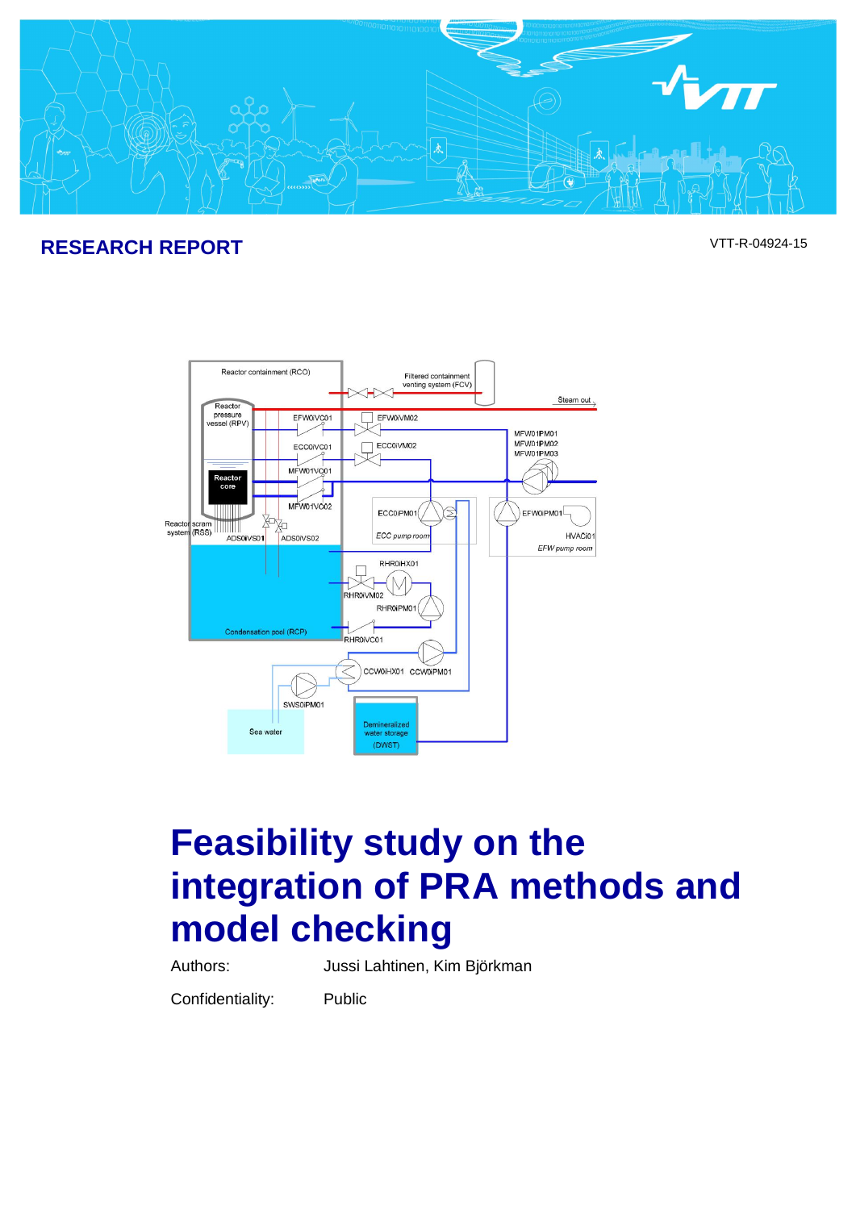

# **RESEARCH REPORT** VTT-R-04924-15



# **Feasibility study on the integration of PRA methods and model checking**

Authors: Jussi Lahtinen, Kim Björkman

Confidentiality: Public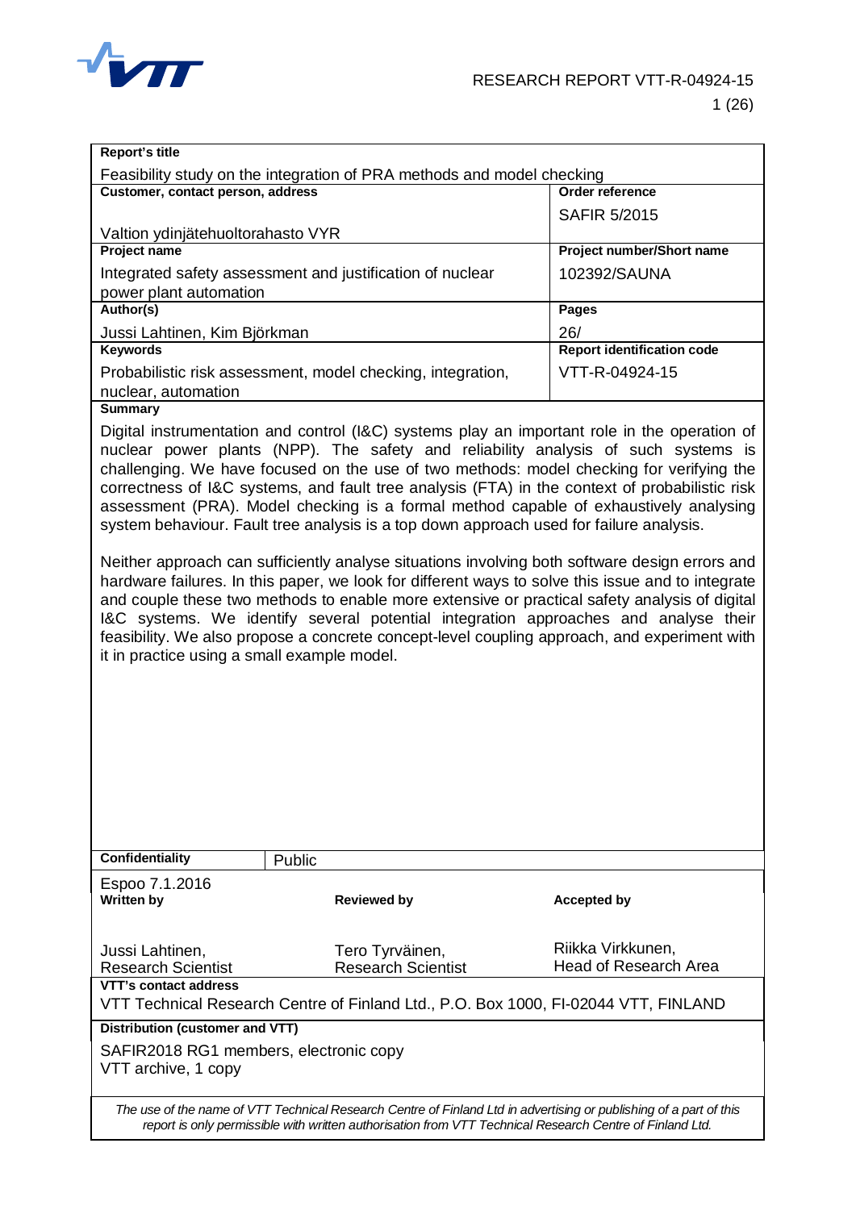

| Report's title                                                                                                              |                                                                                                                                                                                                                                                                                                                                                                                                                                                                                                                                                                                                                                                                                                                                                                                                                                                                                                                                                                                                                                                                     |                                                   |  |  |
|-----------------------------------------------------------------------------------------------------------------------------|---------------------------------------------------------------------------------------------------------------------------------------------------------------------------------------------------------------------------------------------------------------------------------------------------------------------------------------------------------------------------------------------------------------------------------------------------------------------------------------------------------------------------------------------------------------------------------------------------------------------------------------------------------------------------------------------------------------------------------------------------------------------------------------------------------------------------------------------------------------------------------------------------------------------------------------------------------------------------------------------------------------------------------------------------------------------|---------------------------------------------------|--|--|
|                                                                                                                             | Feasibility study on the integration of PRA methods and model checking                                                                                                                                                                                                                                                                                                                                                                                                                                                                                                                                                                                                                                                                                                                                                                                                                                                                                                                                                                                              |                                                   |  |  |
| Customer, contact person, address                                                                                           |                                                                                                                                                                                                                                                                                                                                                                                                                                                                                                                                                                                                                                                                                                                                                                                                                                                                                                                                                                                                                                                                     | Order reference                                   |  |  |
|                                                                                                                             |                                                                                                                                                                                                                                                                                                                                                                                                                                                                                                                                                                                                                                                                                                                                                                                                                                                                                                                                                                                                                                                                     |                                                   |  |  |
|                                                                                                                             |                                                                                                                                                                                                                                                                                                                                                                                                                                                                                                                                                                                                                                                                                                                                                                                                                                                                                                                                                                                                                                                                     | <b>SAFIR 5/2015</b>                               |  |  |
| Valtion ydinjätehuoltorahasto VYR                                                                                           |                                                                                                                                                                                                                                                                                                                                                                                                                                                                                                                                                                                                                                                                                                                                                                                                                                                                                                                                                                                                                                                                     |                                                   |  |  |
| <b>Project name</b>                                                                                                         |                                                                                                                                                                                                                                                                                                                                                                                                                                                                                                                                                                                                                                                                                                                                                                                                                                                                                                                                                                                                                                                                     | Project number/Short name                         |  |  |
|                                                                                                                             | Integrated safety assessment and justification of nuclear                                                                                                                                                                                                                                                                                                                                                                                                                                                                                                                                                                                                                                                                                                                                                                                                                                                                                                                                                                                                           | 102392/SAUNA                                      |  |  |
| power plant automation                                                                                                      |                                                                                                                                                                                                                                                                                                                                                                                                                                                                                                                                                                                                                                                                                                                                                                                                                                                                                                                                                                                                                                                                     |                                                   |  |  |
| Author(s)                                                                                                                   |                                                                                                                                                                                                                                                                                                                                                                                                                                                                                                                                                                                                                                                                                                                                                                                                                                                                                                                                                                                                                                                                     | Pages                                             |  |  |
| Jussi Lahtinen, Kim Björkman                                                                                                |                                                                                                                                                                                                                                                                                                                                                                                                                                                                                                                                                                                                                                                                                                                                                                                                                                                                                                                                                                                                                                                                     | 26/                                               |  |  |
| <b>Keywords</b>                                                                                                             |                                                                                                                                                                                                                                                                                                                                                                                                                                                                                                                                                                                                                                                                                                                                                                                                                                                                                                                                                                                                                                                                     | <b>Report identification code</b>                 |  |  |
|                                                                                                                             | Probabilistic risk assessment, model checking, integration,                                                                                                                                                                                                                                                                                                                                                                                                                                                                                                                                                                                                                                                                                                                                                                                                                                                                                                                                                                                                         | VTT-R-04924-15                                    |  |  |
| nuclear, automation                                                                                                         |                                                                                                                                                                                                                                                                                                                                                                                                                                                                                                                                                                                                                                                                                                                                                                                                                                                                                                                                                                                                                                                                     |                                                   |  |  |
| <b>Summary</b>                                                                                                              |                                                                                                                                                                                                                                                                                                                                                                                                                                                                                                                                                                                                                                                                                                                                                                                                                                                                                                                                                                                                                                                                     |                                                   |  |  |
| it in practice using a small example model.                                                                                 | Digital instrumentation and control (I&C) systems play an important role in the operation of<br>nuclear power plants (NPP). The safety and reliability analysis of such systems is<br>challenging. We have focused on the use of two methods: model checking for verifying the<br>correctness of I&C systems, and fault tree analysis (FTA) in the context of probabilistic risk<br>assessment (PRA). Model checking is a formal method capable of exhaustively analysing<br>system behaviour. Fault tree analysis is a top down approach used for failure analysis.<br>Neither approach can sufficiently analyse situations involving both software design errors and<br>hardware failures. In this paper, we look for different ways to solve this issue and to integrate<br>and couple these two methods to enable more extensive or practical safety analysis of digital<br>I&C systems. We identify several potential integration approaches and analyse their<br>feasibility. We also propose a concrete concept-level coupling approach, and experiment with |                                                   |  |  |
| <b>Confidentiality</b>                                                                                                      |                                                                                                                                                                                                                                                                                                                                                                                                                                                                                                                                                                                                                                                                                                                                                                                                                                                                                                                                                                                                                                                                     |                                                   |  |  |
|                                                                                                                             | Public                                                                                                                                                                                                                                                                                                                                                                                                                                                                                                                                                                                                                                                                                                                                                                                                                                                                                                                                                                                                                                                              |                                                   |  |  |
| Espoo 7.1.2016                                                                                                              |                                                                                                                                                                                                                                                                                                                                                                                                                                                                                                                                                                                                                                                                                                                                                                                                                                                                                                                                                                                                                                                                     |                                                   |  |  |
| <b>Written by</b>                                                                                                           | <b>Reviewed by</b>                                                                                                                                                                                                                                                                                                                                                                                                                                                                                                                                                                                                                                                                                                                                                                                                                                                                                                                                                                                                                                                  | <b>Accepted by</b>                                |  |  |
|                                                                                                                             |                                                                                                                                                                                                                                                                                                                                                                                                                                                                                                                                                                                                                                                                                                                                                                                                                                                                                                                                                                                                                                                                     |                                                   |  |  |
|                                                                                                                             |                                                                                                                                                                                                                                                                                                                                                                                                                                                                                                                                                                                                                                                                                                                                                                                                                                                                                                                                                                                                                                                                     |                                                   |  |  |
| Jussi Lahtinen,                                                                                                             | Tero Tyrväinen,                                                                                                                                                                                                                                                                                                                                                                                                                                                                                                                                                                                                                                                                                                                                                                                                                                                                                                                                                                                                                                                     | Riikka Virkkunen,<br><b>Head of Research Area</b> |  |  |
| <b>Research Scientist</b>                                                                                                   | <b>Research Scientist</b>                                                                                                                                                                                                                                                                                                                                                                                                                                                                                                                                                                                                                                                                                                                                                                                                                                                                                                                                                                                                                                           |                                                   |  |  |
| VTT's contact address                                                                                                       |                                                                                                                                                                                                                                                                                                                                                                                                                                                                                                                                                                                                                                                                                                                                                                                                                                                                                                                                                                                                                                                                     |                                                   |  |  |
| VTT Technical Research Centre of Finland Ltd., P.O. Box 1000, FI-02044 VTT, FINLAND                                         |                                                                                                                                                                                                                                                                                                                                                                                                                                                                                                                                                                                                                                                                                                                                                                                                                                                                                                                                                                                                                                                                     |                                                   |  |  |
| <b>Distribution (customer and VTT)</b>                                                                                      |                                                                                                                                                                                                                                                                                                                                                                                                                                                                                                                                                                                                                                                                                                                                                                                                                                                                                                                                                                                                                                                                     |                                                   |  |  |
| SAFIR2018 RG1 members, electronic copy<br>VTT archive, 1 copy                                                               |                                                                                                                                                                                                                                                                                                                                                                                                                                                                                                                                                                                                                                                                                                                                                                                                                                                                                                                                                                                                                                                                     |                                                   |  |  |
| The use of the name of $\sqrt{TT}$ Technical Persecrat Cantro of Einland Ltd in advartising at publiching of a part of this |                                                                                                                                                                                                                                                                                                                                                                                                                                                                                                                                                                                                                                                                                                                                                                                                                                                                                                                                                                                                                                                                     |                                                   |  |  |

*The use of the name of VTT Technical Research Centre of Finland Ltd in advertising or publishing of a part of this report is only permissible with written authorisation from VTT Technical Research Centre of Finland Ltd.*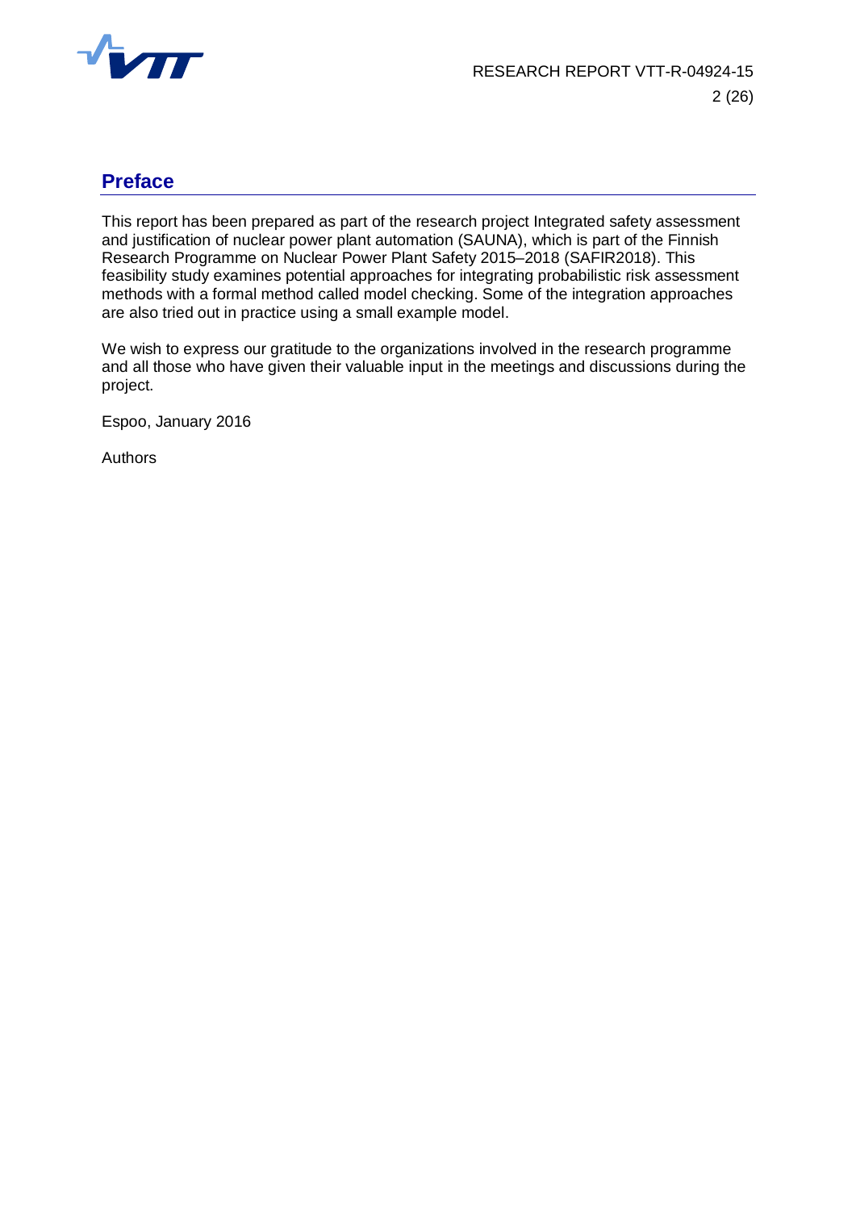

## <span id="page-2-0"></span>**Preface**

This report has been prepared as part of the research project Integrated safety assessment and justification of nuclear power plant automation (SAUNA), which is part of the Finnish Research Programme on Nuclear Power Plant Safety 2015–2018 (SAFIR2018). This feasibility study examines potential approaches for integrating probabilistic risk assessment methods with a formal method called model checking. Some of the integration approaches are also tried out in practice using a small example model.

We wish to express our gratitude to the organizations involved in the research programme and all those who have given their valuable input in the meetings and discussions during the project.

Espoo, January 2016

Authors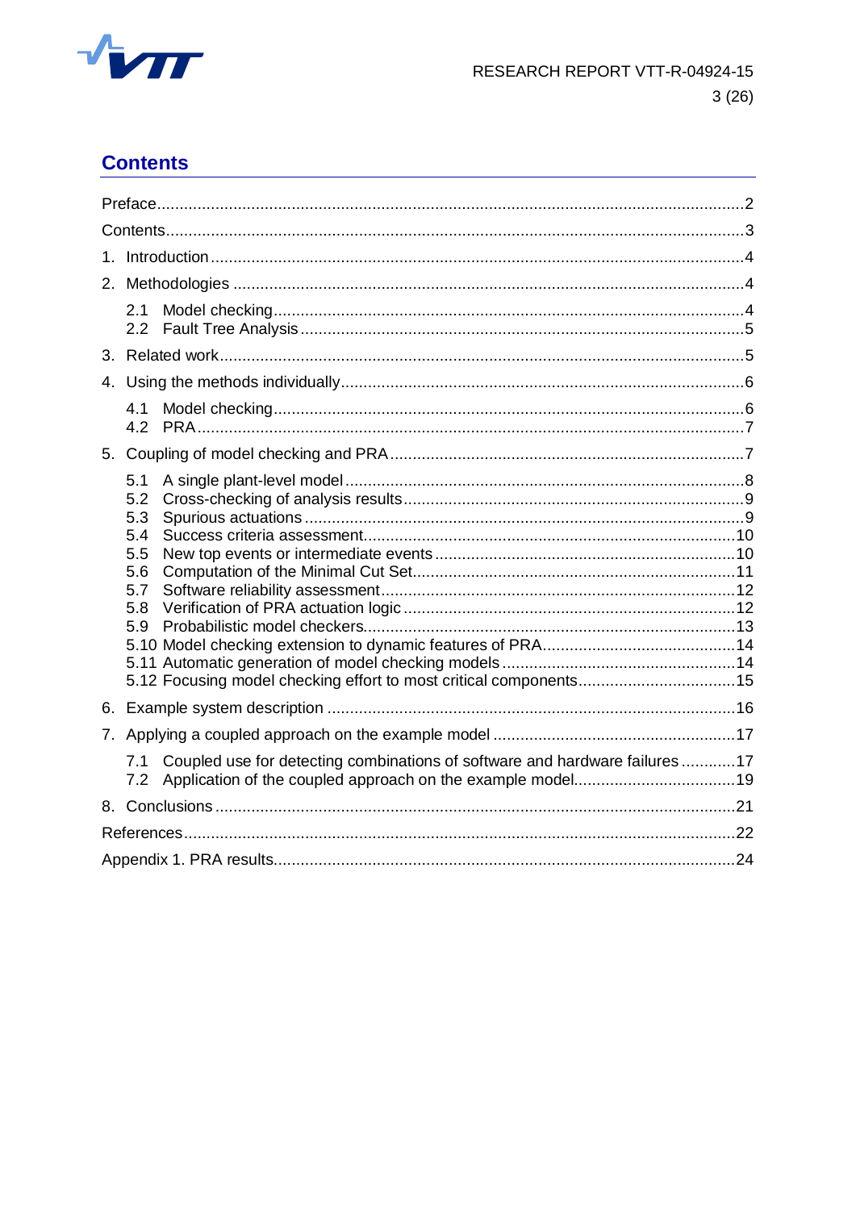

# <span id="page-3-0"></span>**Contents**

| 2. |                                                                                           |  |  |  |  |  |  |
|----|-------------------------------------------------------------------------------------------|--|--|--|--|--|--|
|    | 2.1<br>2.2                                                                                |  |  |  |  |  |  |
|    |                                                                                           |  |  |  |  |  |  |
|    |                                                                                           |  |  |  |  |  |  |
|    | 4.1                                                                                       |  |  |  |  |  |  |
| 5. |                                                                                           |  |  |  |  |  |  |
|    | 5.1<br>5.2<br>5.3<br>5.4<br>5.5<br>5.6<br>5.7<br>5.8<br>5.9                               |  |  |  |  |  |  |
| 6. |                                                                                           |  |  |  |  |  |  |
|    |                                                                                           |  |  |  |  |  |  |
|    | Coupled use for detecting combinations of software and hardware failures 17<br>7.1<br>7.2 |  |  |  |  |  |  |
|    |                                                                                           |  |  |  |  |  |  |
|    |                                                                                           |  |  |  |  |  |  |
|    |                                                                                           |  |  |  |  |  |  |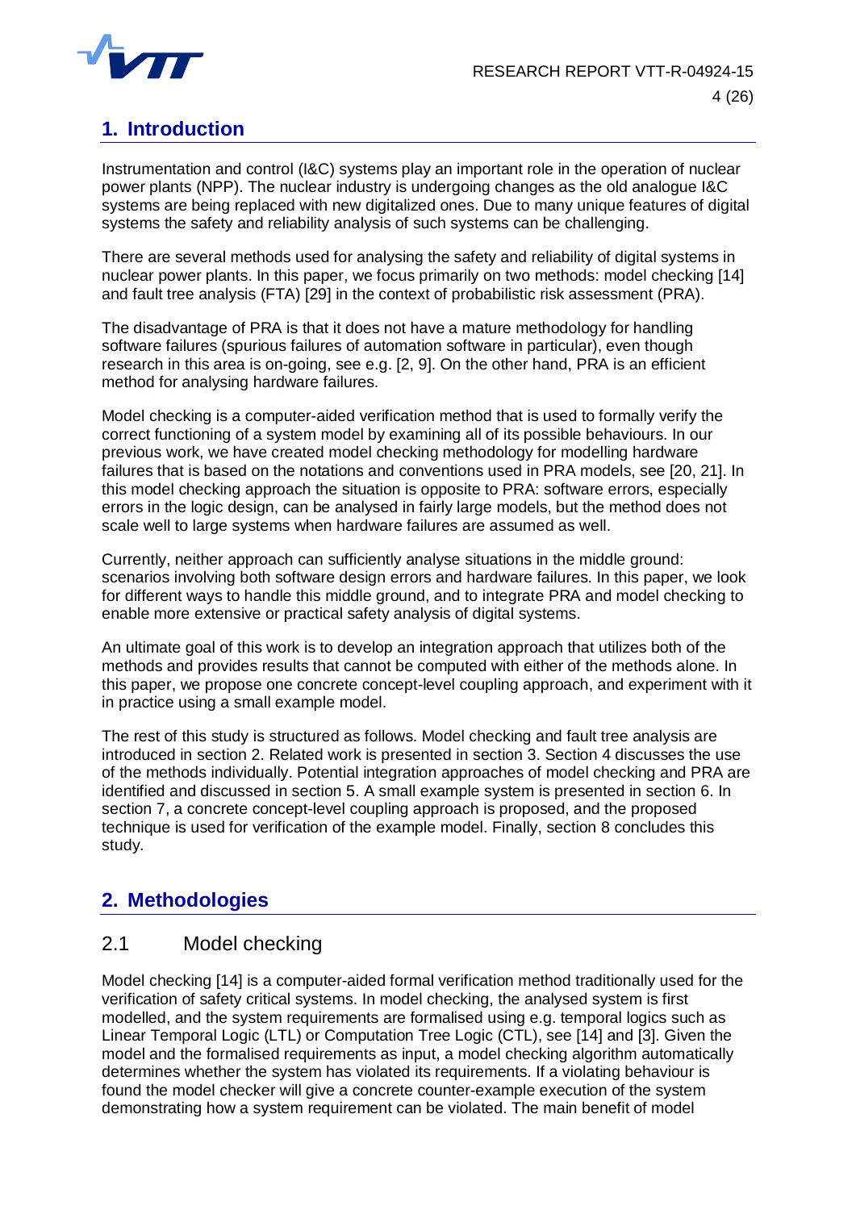

# <span id="page-4-0"></span>**1. Introduction**

Instrumentation and control (I&C) systems play an important role in the operation of nuclear power plants (NPP). The nuclear industry is undergoing changes as the old analogue I&C systems are being replaced with new digitalized ones. Due to many unique features of digital systems the safety and reliability analysis of such systems can be challenging.

There are several methods used for analysing the safety and reliability of digital systems in nuclear power plants. In this paper, we focus primarily on two methods: model checking [14] and fault tree analysis (FTA) [29] in the context of probabilistic risk assessment (PRA).

The disadvantage of PRA is that it does not have a mature methodology for handling software failures (spurious failures of automation software in particular), even though research in this area is on-going, see e.g. [2, 9]. On the other hand, PRA is an efficient method for analysing hardware failures.

Model checking is a computer-aided verification method that is used to formally verify the correct functioning of a system model by examining all of its possible behaviours. In our previous work, we have created model checking methodology for modelling hardware failures that is based on the notations and conventions used in PRA models, see [20, 21]. In this model checking approach the situation is opposite to PRA: software errors, especially errors in the logic design, can be analysed in fairly large models, but the method does not scale well to large systems when hardware failures are assumed as well.

Currently, neither approach can sufficiently analyse situations in the middle ground: scenarios involving both software design errors and hardware failures. In this paper, we look for different ways to handle this middle ground, and to integrate PRA and model checking to enable more extensive or practical safety analysis of digital systems.

An ultimate goal of this work is to develop an integration approach that utilizes both of the methods and provides results that cannot be computed with either of the methods alone. In this paper, we propose one concrete concept-level coupling approach, and experiment with it in practice using a small example model.

The rest of this study is structured as follows. Model checking and fault tree analysis are introduced in section 2. Related work is presented in section 3. Section 4 discusses the use of the methods individually. Potential integration approaches of model checking and PRA are identified and discussed in section 5. A small example system is presented in section 6. In section 7, a concrete concept-level coupling approach is proposed, and the proposed technique is used for verification of the example model. Finally, section 8 concludes this study.

# <span id="page-4-1"></span>**2. Methodologies**

## <span id="page-4-2"></span>2.1 Model checking

Model checking [14] is a computer-aided formal verification method traditionally used for the verification of safety critical systems. In model checking, the analysed system is first modelled, and the system requirements are formalised using e.g. temporal logics such as Linear Temporal Logic (LTL) or Computation Tree Logic (CTL), see [14] and [3]. Given the model and the formalised requirements as input, a model checking algorithm automatically determines whether the system has violated its requirements. If a violating behaviour is found the model checker will give a concrete counter-example execution of the system demonstrating how a system requirement can be violated. The main benefit of model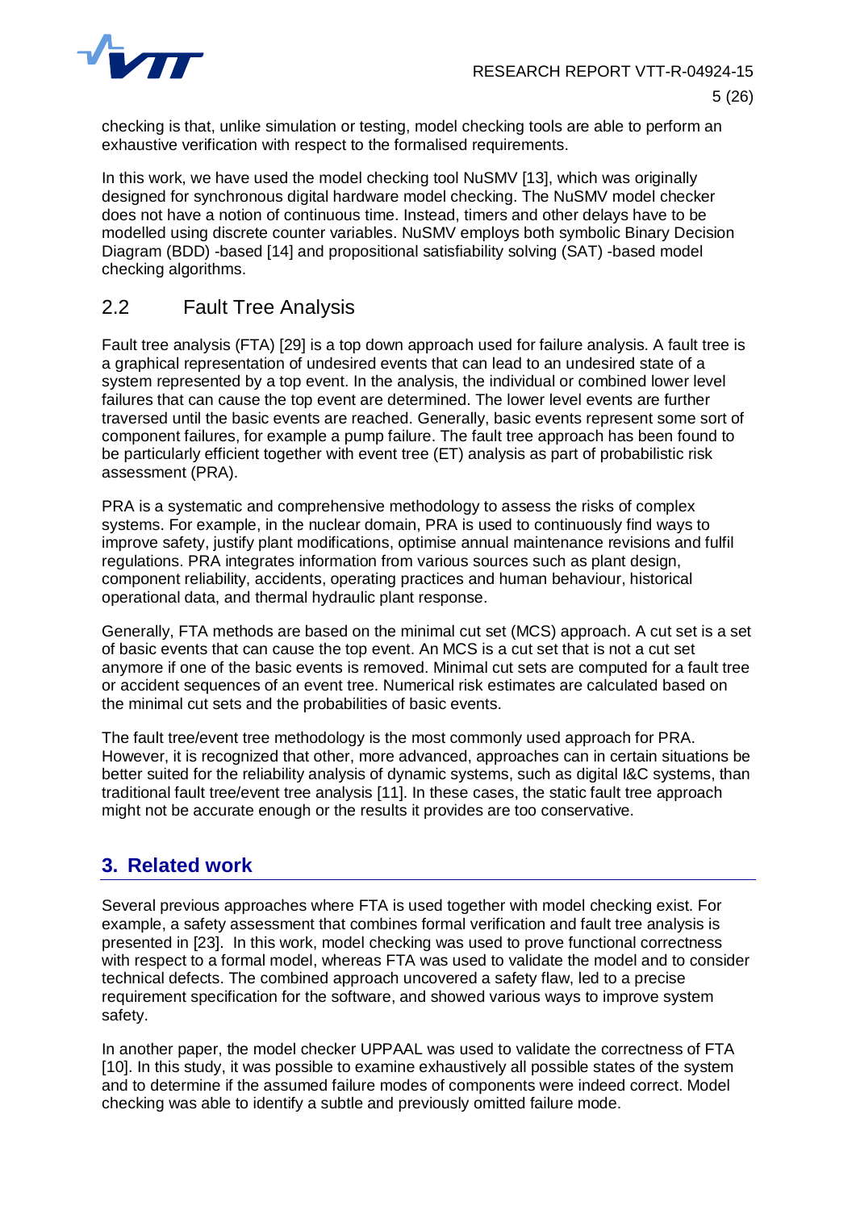

checking is that, unlike simulation or testing, model checking tools are able to perform an exhaustive verification with respect to the formalised requirements.

In this work, we have used the model checking tool NuSMV [13], which was originally designed for synchronous digital hardware model checking. The NuSMV model checker does not have a notion of continuous time. Instead, timers and other delays have to be modelled using discrete counter variables. NuSMV employs both symbolic Binary Decision Diagram (BDD) -based [14] and propositional satisfiability solving (SAT) -based model checking algorithms.

## <span id="page-5-0"></span>2.2 Fault Tree Analysis

Fault tree analysis (FTA) [29] is a top down approach used for failure analysis. A fault tree is a graphical representation of undesired events that can lead to an undesired state of a system represented by a top event. In the analysis, the individual or combined lower level failures that can cause the top event are determined. The lower level events are further traversed until the basic events are reached. Generally, basic events represent some sort of component failures, for example a pump failure. The fault tree approach has been found to be particularly efficient together with event tree (ET) analysis as part of probabilistic risk assessment (PRA).

PRA is a systematic and comprehensive methodology to assess the risks of complex systems. For example, in the nuclear domain, PRA is used to continuously find ways to improve safety, justify plant modifications, optimise annual maintenance revisions and fulfil regulations. PRA integrates information from various sources such as plant design, component reliability, accidents, operating practices and human behaviour, historical operational data, and thermal hydraulic plant response.

Generally, FTA methods are based on the minimal cut set (MCS) approach. A cut set is a set of basic events that can cause the top event. An MCS is a cut set that is not a cut set anymore if one of the basic events is removed. Minimal cut sets are computed for a fault tree or accident sequences of an event tree. Numerical risk estimates are calculated based on the minimal cut sets and the probabilities of basic events.

The fault tree/event tree methodology is the most commonly used approach for PRA. However, it is recognized that other, more advanced, approaches can in certain situations be better suited for the reliability analysis of dynamic systems, such as digital I&C systems, than traditional fault tree/event tree analysis [11]. In these cases, the static fault tree approach might not be accurate enough or the results it provides are too conservative.

# <span id="page-5-1"></span>**3. Related work**

Several previous approaches where FTA is used together with model checking exist. For example, a safety assessment that combines formal verification and fault tree analysis is presented in [23]. In this work, model checking was used to prove functional correctness with respect to a formal model, whereas FTA was used to validate the model and to consider technical defects. The combined approach uncovered a safety flaw, led to a precise requirement specification for the software, and showed various ways to improve system safety.

In another paper, the model checker UPPAAL was used to validate the correctness of FTA [10]. In this study, it was possible to examine exhaustively all possible states of the system and to determine if the assumed failure modes of components were indeed correct. Model checking was able to identify a subtle and previously omitted failure mode.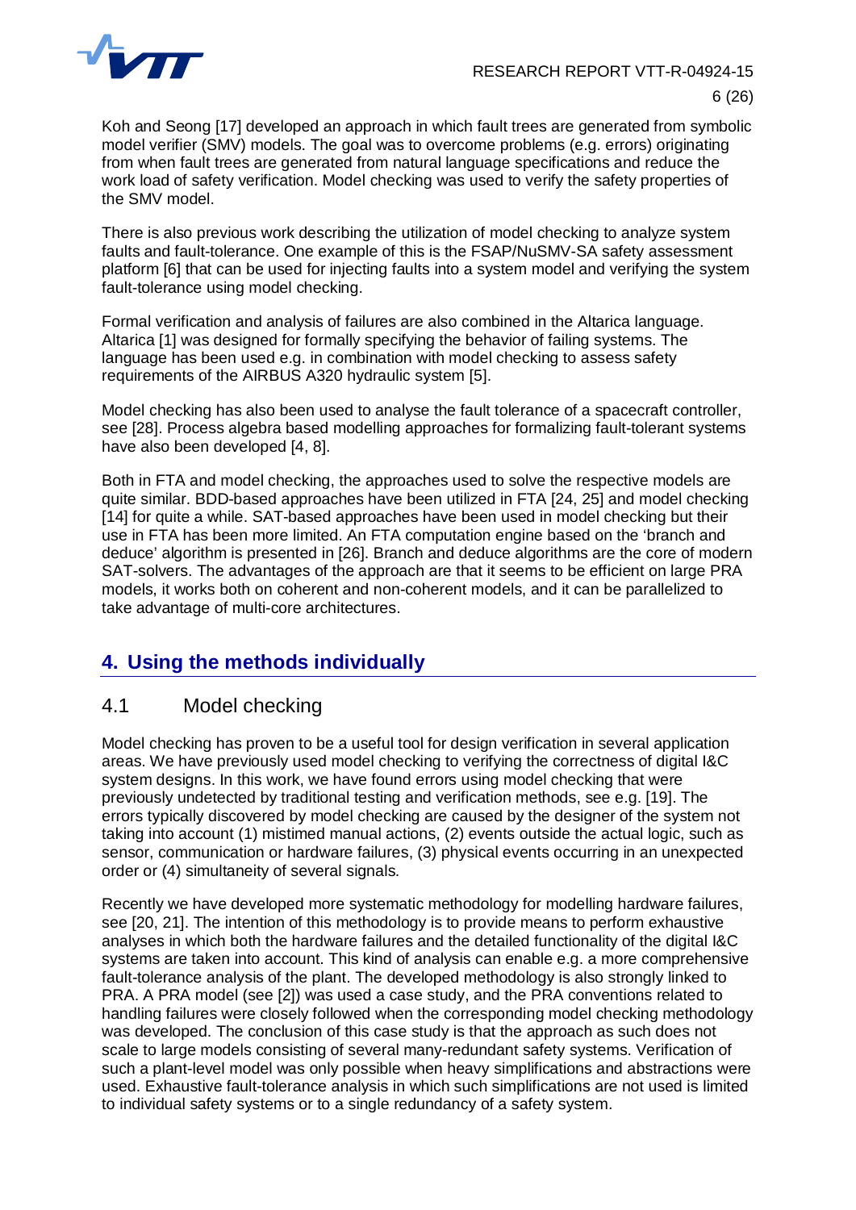

Koh and Seong [17] developed an approach in which fault trees are generated from symbolic model verifier (SMV) models. The goal was to overcome problems (e.g. errors) originating from when fault trees are generated from natural language specifications and reduce the work load of safety verification. Model checking was used to verify the safety properties of the SMV model.

There is also previous work describing the utilization of model checking to analyze system faults and fault-tolerance. One example of this is the FSAP/NuSMV-SA safety assessment platform [6] that can be used for injecting faults into a system model and verifying the system fault-tolerance using model checking.

Formal verification and analysis of failures are also combined in the Altarica language. Altarica [1] was designed for formally specifying the behavior of failing systems. The language has been used e.g. in combination with model checking to assess safety requirements of the AIRBUS A320 hydraulic system [5].

Model checking has also been used to analyse the fault tolerance of a spacecraft controller, see [28]. Process algebra based modelling approaches for formalizing fault-tolerant systems have also been developed [4, 8].

Both in FTA and model checking, the approaches used to solve the respective models are quite similar. BDD-based approaches have been utilized in FTA [24, 25] and model checking [14] for quite a while. SAT-based approaches have been used in model checking but their use in FTA has been more limited. An FTA computation engine based on the 'branch and deduce' algorithm is presented in [26]. Branch and deduce algorithms are the core of modern SAT-solvers. The advantages of the approach are that it seems to be efficient on large PRA models, it works both on coherent and non-coherent models, and it can be parallelized to take advantage of multi-core architectures.

# <span id="page-6-0"></span>**4. Using the methods individually**

## <span id="page-6-1"></span>4.1 Model checking

Model checking has proven to be a useful tool for design verification in several application areas. We have previously used model checking to verifying the correctness of digital I&C system designs. In this work, we have found errors using model checking that were previously undetected by traditional testing and verification methods, see e.g. [19]. The errors typically discovered by model checking are caused by the designer of the system not taking into account (1) mistimed manual actions, (2) events outside the actual logic, such as sensor, communication or hardware failures, (3) physical events occurring in an unexpected order or (4) simultaneity of several signals.

Recently we have developed more systematic methodology for modelling hardware failures, see [20, 21]. The intention of this methodology is to provide means to perform exhaustive analyses in which both the hardware failures and the detailed functionality of the digital I&C systems are taken into account. This kind of analysis can enable e.g. a more comprehensive fault-tolerance analysis of the plant. The developed methodology is also strongly linked to PRA. A PRA model (see [2]) was used a case study, and the PRA conventions related to handling failures were closely followed when the corresponding model checking methodology was developed. The conclusion of this case study is that the approach as such does not scale to large models consisting of several many-redundant safety systems. Verification of such a plant-level model was only possible when heavy simplifications and abstractions were used. Exhaustive fault-tolerance analysis in which such simplifications are not used is limited to individual safety systems or to a single redundancy of a safety system.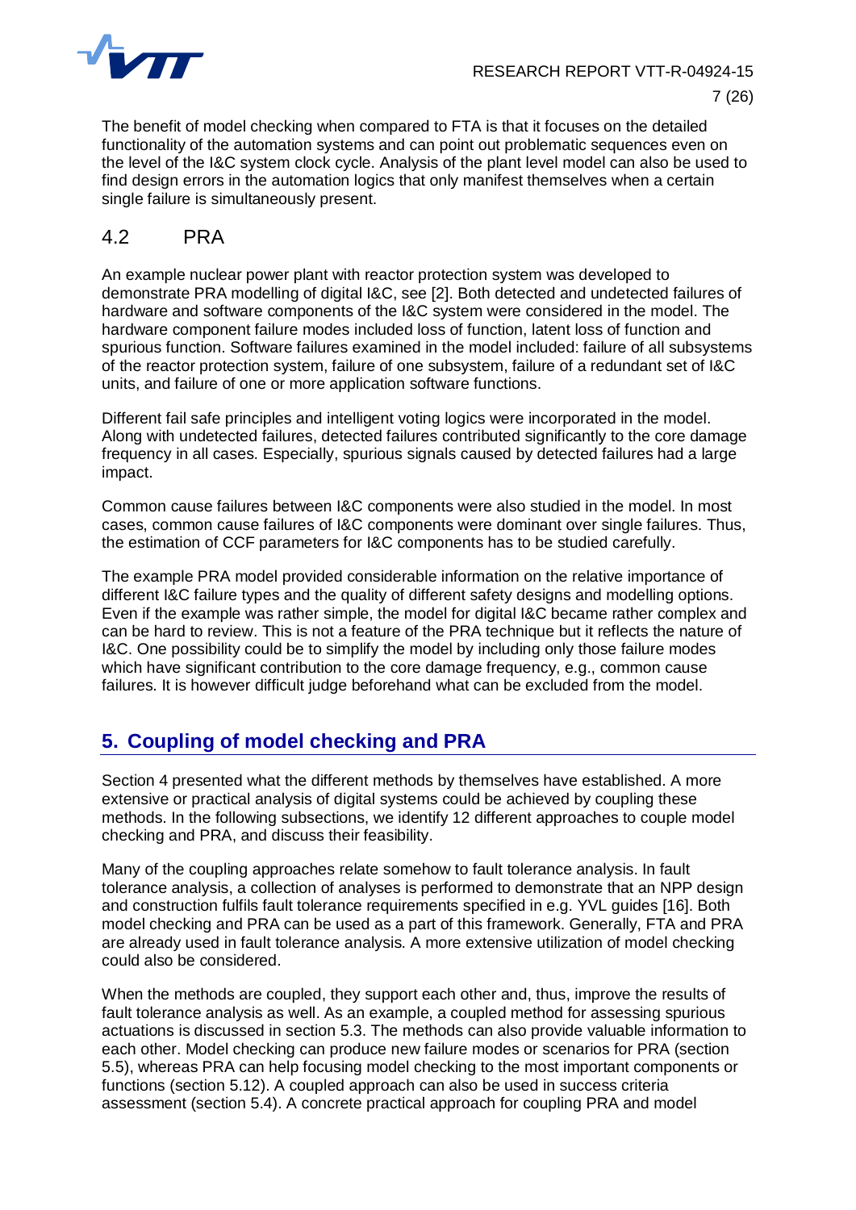

The benefit of model checking when compared to FTA is that it focuses on the detailed functionality of the automation systems and can point out problematic sequences even on the level of the I&C system clock cycle. Analysis of the plant level model can also be used to find design errors in the automation logics that only manifest themselves when a certain single failure is simultaneously present.

## <span id="page-7-0"></span>4.2 PRA

An example nuclear power plant with reactor protection system was developed to demonstrate PRA modelling of digital I&C, see [2]. Both detected and undetected failures of hardware and software components of the I&C system were considered in the model. The hardware component failure modes included loss of function, latent loss of function and spurious function. Software failures examined in the model included: failure of all subsystems of the reactor protection system, failure of one subsystem, failure of a redundant set of I&C units, and failure of one or more application software functions.

Different fail safe principles and intelligent voting logics were incorporated in the model. Along with undetected failures, detected failures contributed significantly to the core damage frequency in all cases. Especially, spurious signals caused by detected failures had a large impact.

Common cause failures between I&C components were also studied in the model. In most cases, common cause failures of I&C components were dominant over single failures. Thus, the estimation of CCF parameters for I&C components has to be studied carefully.

The example PRA model provided considerable information on the relative importance of different I&C failure types and the quality of different safety designs and modelling options. Even if the example was rather simple, the model for digital I&C became rather complex and can be hard to review. This is not a feature of the PRA technique but it reflects the nature of I&C. One possibility could be to simplify the model by including only those failure modes which have significant contribution to the core damage frequency, e.g., common cause failures. It is however difficult judge beforehand what can be excluded from the model.

# <span id="page-7-1"></span>**5. Coupling of model checking and PRA**

Section 4 presented what the different methods by themselves have established. A more extensive or practical analysis of digital systems could be achieved by coupling these methods. In the following subsections, we identify 12 different approaches to couple model checking and PRA, and discuss their feasibility.

Many of the coupling approaches relate somehow to fault tolerance analysis. In fault tolerance analysis, a collection of analyses is performed to demonstrate that an NPP design and construction fulfils fault tolerance requirements specified in e.g. YVL guides [16]. Both model checking and PRA can be used as a part of this framework. Generally, FTA and PRA are already used in fault tolerance analysis. A more extensive utilization of model checking could also be considered.

When the methods are coupled, they support each other and, thus, improve the results of fault tolerance analysis as well. As an example, a coupled method for assessing spurious actuations is discussed in section [5.3](#page-9-1). The methods can also provide valuable information to each other. Model checking can produce new failure modes or scenarios for PRA (section [5.5](#page-10-1)), whereas PRA can help focusing model checking to the most important components or functions (section [5.12](#page-15-0)). A coupled approach can also be used in success criteria assessment (section [5.4](#page-10-0)). A concrete practical approach for coupling PRA and model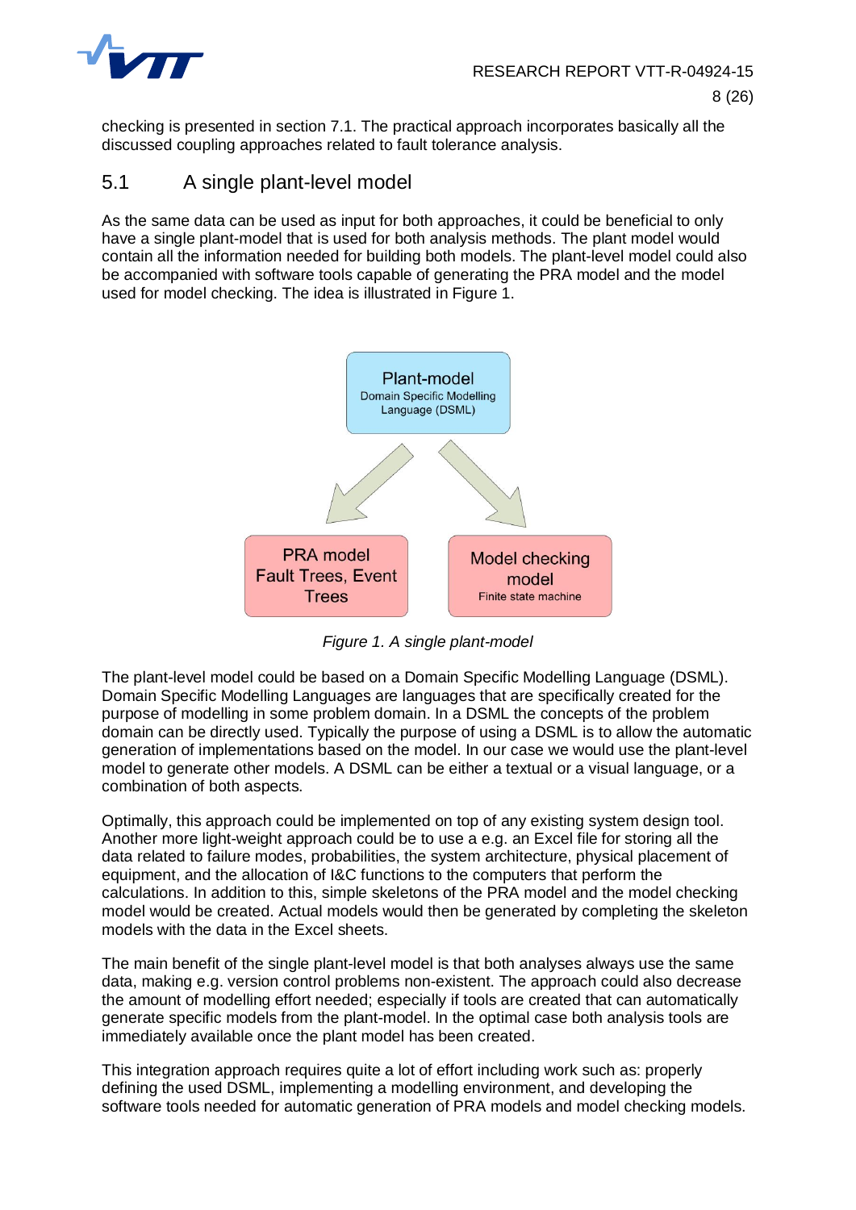

checking is presented in section [7.1](#page-17-1). The practical approach incorporates basically all the discussed coupling approaches related to fault tolerance analysis.

#### <span id="page-8-0"></span>5.1 A single plant-level model

As the same data can be used as input for both approaches, it could be beneficial to only have a single plant-model that is used for both analysis methods. The plant model would contain all the information needed for building both models. The plant-level model could also be accompanied with software tools capable of generating the PRA model and the model used for model checking. The idea is illustrated in [Figure 1](#page-8-1).



<span id="page-8-1"></span>*Figure 1. A single plant-model*

The plant-level model could be based on a Domain Specific Modelling Language (DSML). Domain Specific Modelling Languages are languages that are specifically created for the purpose of modelling in some problem domain. In a DSML the concepts of the problem domain can be directly used. Typically the purpose of using a DSML is to allow the automatic generation of implementations based on the model. In our case we would use the plant-level model to generate other models. A DSML can be either a textual or a visual language, or a combination of both aspects.

Optimally, this approach could be implemented on top of any existing system design tool. Another more light-weight approach could be to use a e.g. an Excel file for storing all the data related to failure modes, probabilities, the system architecture, physical placement of equipment, and the allocation of I&C functions to the computers that perform the calculations. In addition to this, simple skeletons of the PRA model and the model checking model would be created. Actual models would then be generated by completing the skeleton models with the data in the Excel sheets.

The main benefit of the single plant-level model is that both analyses always use the same data, making e.g. version control problems non-existent. The approach could also decrease the amount of modelling effort needed; especially if tools are created that can automatically generate specific models from the plant-model. In the optimal case both analysis tools are immediately available once the plant model has been created.

This integration approach requires quite a lot of effort including work such as: properly defining the used DSML, implementing a modelling environment, and developing the software tools needed for automatic generation of PRA models and model checking models.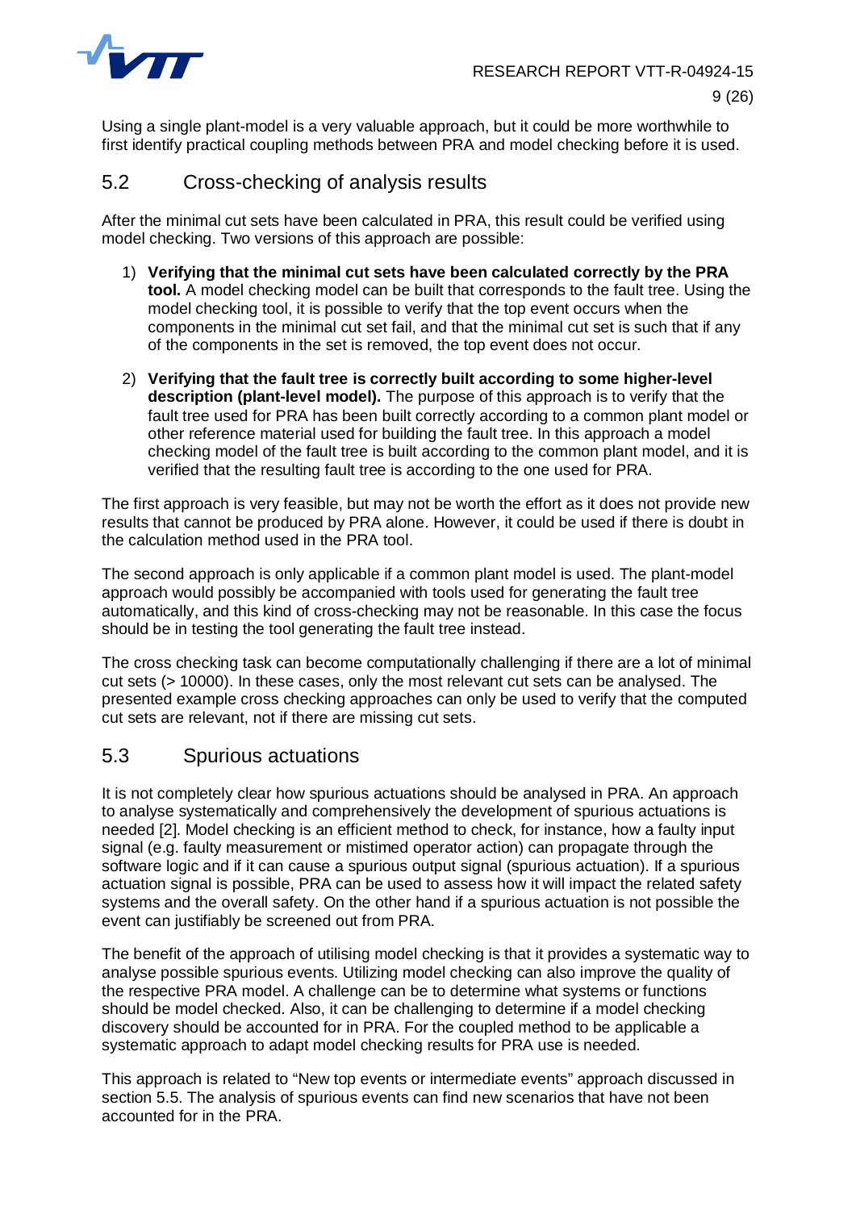

Using a single plant-model is a very valuable approach, but it could be more worthwhile to first identify practical coupling methods between PRA and model checking before it is used.

## <span id="page-9-0"></span>5.2 Cross-checking of analysis results

After the minimal cut sets have been calculated in PRA, this result could be verified using model checking. Two versions of this approach are possible:

- 1) **Verifying that the minimal cut sets have been calculated correctly by the PRA tool.** A model checking model can be built that corresponds to the fault tree. Using the model checking tool, it is possible to verify that the top event occurs when the components in the minimal cut set fail, and that the minimal cut set is such that if any of the components in the set is removed, the top event does not occur.
- 2) **Verifying that the fault tree is correctly built according to some higher-level description (plant-level model).** The purpose of this approach is to verify that the fault tree used for PRA has been built correctly according to a common plant model or other reference material used for building the fault tree. In this approach a model checking model of the fault tree is built according to the common plant model, and it is verified that the resulting fault tree is according to the one used for PRA.

The first approach is very feasible, but may not be worth the effort as it does not provide new results that cannot be produced by PRA alone. However, it could be used if there is doubt in the calculation method used in the PRA tool.

The second approach is only applicable if a common plant model is used. The plant-model approach would possibly be accompanied with tools used for generating the fault tree automatically, and this kind of cross-checking may not be reasonable. In this case the focus should be in testing the tool generating the fault tree instead.

The cross checking task can become computationally challenging if there are a lot of minimal cut sets (> 10000). In these cases, only the most relevant cut sets can be analysed. The presented example cross checking approaches can only be used to verify that the computed cut sets are relevant, not if there are missing cut sets.

#### <span id="page-9-1"></span>5.3 Spurious actuations

It is not completely clear how spurious actuations should be analysed in PRA. An approach to analyse systematically and comprehensively the development of spurious actuations is needed [2]. Model checking is an efficient method to check, for instance, how a faulty input signal (e.g. faulty measurement or mistimed operator action) can propagate through the software logic and if it can cause a spurious output signal (spurious actuation). If a spurious actuation signal is possible, PRA can be used to assess how it will impact the related safety systems and the overall safety. On the other hand if a spurious actuation is not possible the event can justifiably be screened out from PRA.

The benefit of the approach of utilising model checking is that it provides a systematic way to analyse possible spurious events. Utilizing model checking can also improve the quality of the respective PRA model. A challenge can be to determine what systems or functions should be model checked. Also, it can be challenging to determine if a model checking discovery should be accounted for in PRA. For the coupled method to be applicable a systematic approach to adapt model checking results for PRA use is needed.

This approach is related to "New top events or intermediate events" approach discussed in section [5.5](#page-10-1). The analysis of spurious events can find new scenarios that have not been accounted for in the PRA.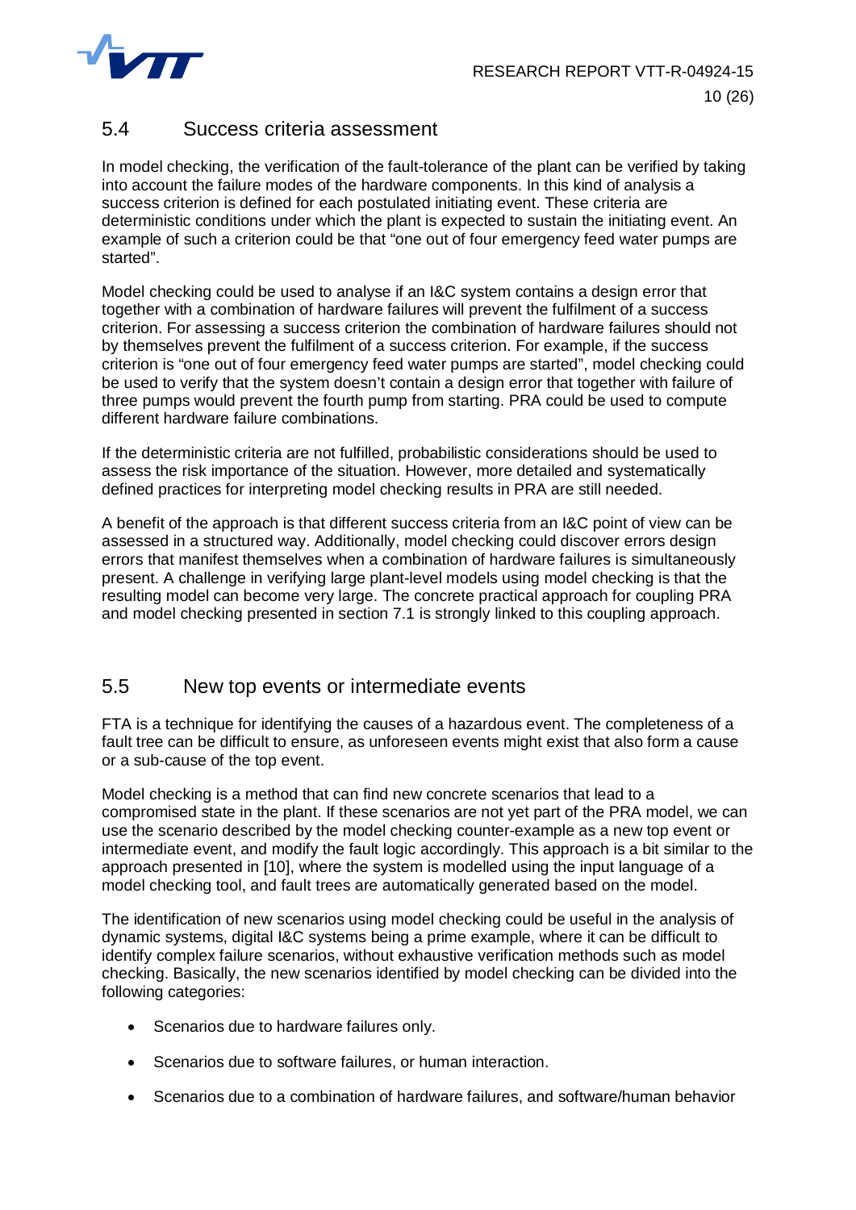

## <span id="page-10-0"></span>5.4 Success criteria assessment

In model checking, the verification of the fault-tolerance of the plant can be verified by taking into account the failure modes of the hardware components. In this kind of analysis a success criterion is defined for each postulated initiating event. These criteria are deterministic conditions under which the plant is expected to sustain the initiating event. An example of such a criterion could be that "one out of four emergency feed water pumps are started".

Model checking could be used to analyse if an I&C system contains a design error that together with a combination of hardware failures will prevent the fulfilment of a success criterion. For assessing a success criterion the combination of hardware failures should not by themselves prevent the fulfilment of a success criterion. For example, if the success criterion is "one out of four emergency feed water pumps are started", model checking could be used to verify that the system doesn't contain a design error that together with failure of three pumps would prevent the fourth pump from starting. PRA could be used to compute different hardware failure combinations.

If the deterministic criteria are not fulfilled, probabilistic considerations should be used to assess the risk importance of the situation. However, more detailed and systematically defined practices for interpreting model checking results in PRA are still needed.

A benefit of the approach is that different success criteria from an I&C point of view can be assessed in a structured way. Additionally, model checking could discover errors design errors that manifest themselves when a combination of hardware failures is simultaneously present. A challenge in verifying large plant-level models using model checking is that the resulting model can become very large. The concrete practical approach for coupling PRA and model checking presented in section 7.1 is strongly linked to this coupling approach.

## <span id="page-10-1"></span>5.5 New top events or intermediate events

FTA is a technique for identifying the causes of a hazardous event. The completeness of a fault tree can be difficult to ensure, as unforeseen events might exist that also form a cause or a sub-cause of the top event.

Model checking is a method that can find new concrete scenarios that lead to a compromised state in the plant. If these scenarios are not yet part of the PRA model, we can use the scenario described by the model checking counter-example as a new top event or intermediate event, and modify the fault logic accordingly. This approach is a bit similar to the approach presented in [10], where the system is modelled using the input language of a model checking tool, and fault trees are automatically generated based on the model.

The identification of new scenarios using model checking could be useful in the analysis of dynamic systems, digital I&C systems being a prime example, where it can be difficult to identify complex failure scenarios, without exhaustive verification methods such as model checking. Basically, the new scenarios identified by model checking can be divided into the following categories:

- Scenarios due to hardware failures only.
- Scenarios due to software failures, or human interaction.
- Scenarios due to a combination of hardware failures, and software/human behavior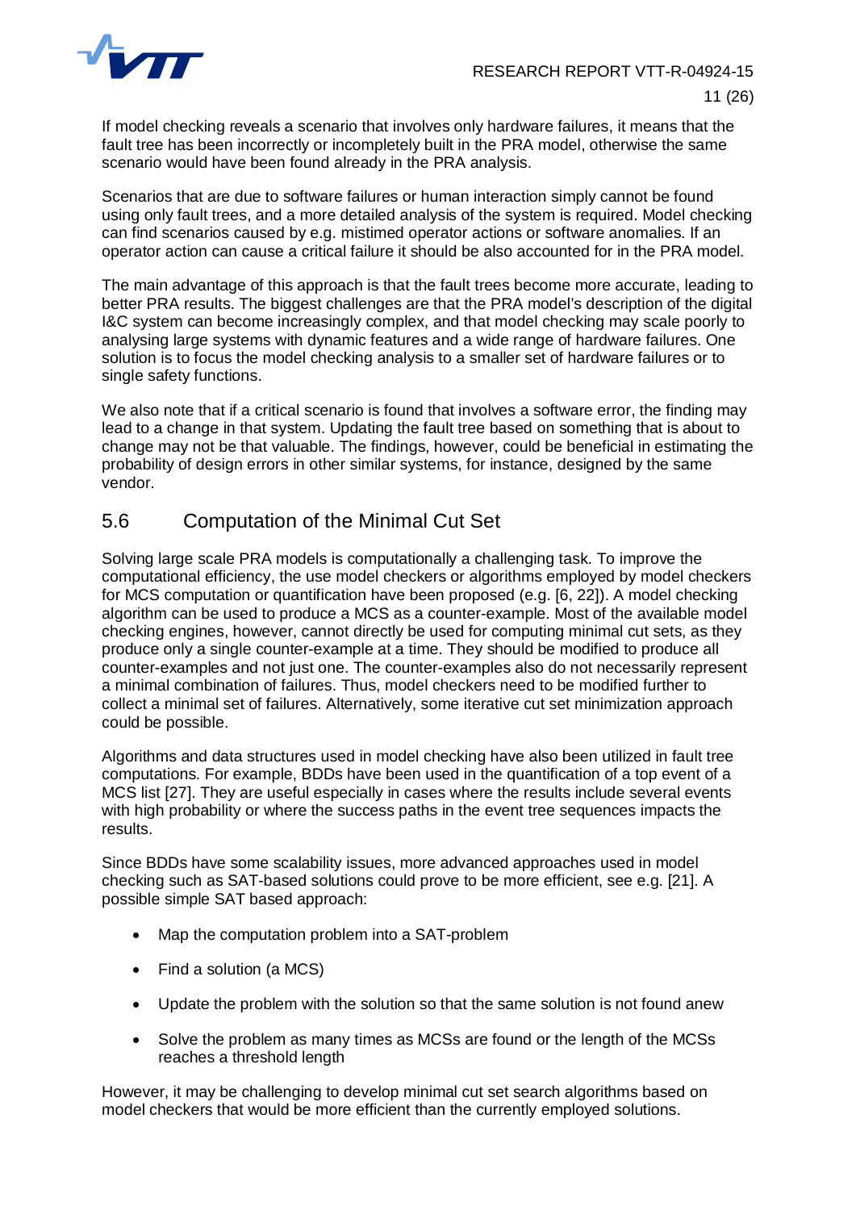

If model checking reveals a scenario that involves only hardware failures, it means that the fault tree has been incorrectly or incompletely built in the PRA model, otherwise the same scenario would have been found already in the PRA analysis.

Scenarios that are due to software failures or human interaction simply cannot be found using only fault trees, and a more detailed analysis of the system is required. Model checking can find scenarios caused by e.g. mistimed operator actions or software anomalies. If an operator action can cause a critical failure it should be also accounted for in the PRA model.

The main advantage of this approach is that the fault trees become more accurate, leading to better PRA results. The biggest challenges are that the PRA model's description of the digital I&C system can become increasingly complex, and that model checking may scale poorly to analysing large systems with dynamic features and a wide range of hardware failures. One solution is to focus the model checking analysis to a smaller set of hardware failures or to single safety functions.

We also note that if a critical scenario is found that involves a software error, the finding may lead to a change in that system. Updating the fault tree based on something that is about to change may not be that valuable. The findings, however, could be beneficial in estimating the probability of design errors in other similar systems, for instance, designed by the same vendor.

## <span id="page-11-0"></span>5.6 Computation of the Minimal Cut Set

Solving large scale PRA models is computationally a challenging task. To improve the computational efficiency, the use model checkers or algorithms employed by model checkers for MCS computation or quantification have been proposed (e.g. [6, 22]). A model checking algorithm can be used to produce a MCS as a counter-example. Most of the available model checking engines, however, cannot directly be used for computing minimal cut sets, as they produce only a single counter-example at a time. They should be modified to produce all counter-examples and not just one. The counter-examples also do not necessarily represent a minimal combination of failures. Thus, model checkers need to be modified further to collect a minimal set of failures. Alternatively, some iterative cut set minimization approach could be possible.

Algorithms and data structures used in model checking have also been utilized in fault tree computations. For example, BDDs have been used in the quantification of a top event of a MCS list [27]. They are useful especially in cases where the results include several events with high probability or where the success paths in the event tree sequences impacts the results.

Since BDDs have some scalability issues, more advanced approaches used in model checking such as SAT-based solutions could prove to be more efficient, see e.g. [21]. A possible simple SAT based approach:

- Map the computation problem into a SAT-problem
- $\bullet$  Find a solution (a MCS)
- Update the problem with the solution so that the same solution is not found anew
- Solve the problem as many times as MCSs are found or the length of the MCSs reaches a threshold length

However, it may be challenging to develop minimal cut set search algorithms based on model checkers that would be more efficient than the currently employed solutions.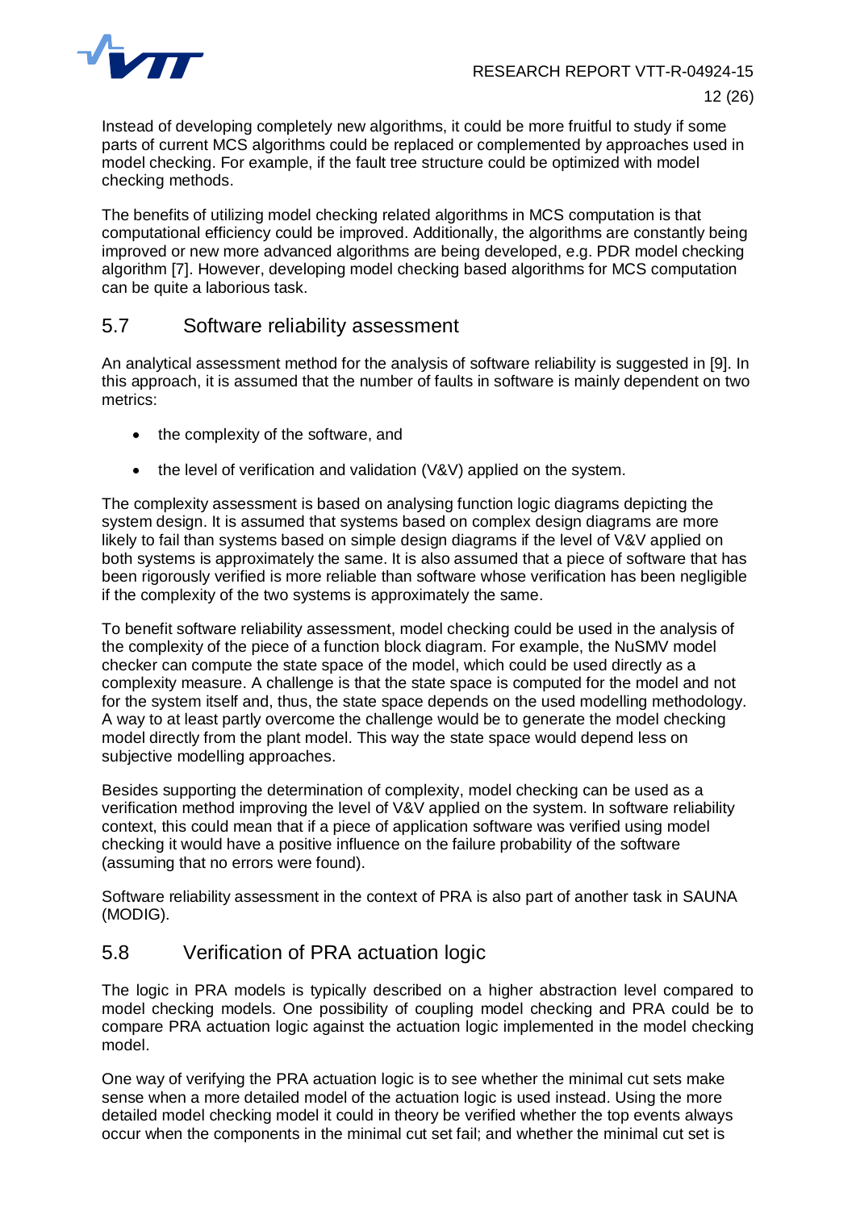

Instead of developing completely new algorithms, it could be more fruitful to study if some parts of current MCS algorithms could be replaced or complemented by approaches used in model checking. For example, if the fault tree structure could be optimized with model checking methods.

The benefits of utilizing model checking related algorithms in MCS computation is that computational efficiency could be improved. Additionally, the algorithms are constantly being improved or new more advanced algorithms are being developed, e.g. PDR model checking algorithm [7]. However, developing model checking based algorithms for MCS computation can be quite a laborious task.

#### <span id="page-12-0"></span>5.7 Software reliability assessment

An analytical assessment method for the analysis of software reliability is suggested in [9]. In this approach, it is assumed that the number of faults in software is mainly dependent on two metrics:

- the complexity of the software, and
- $\bullet$  the level of verification and validation (V&V) applied on the system.

The complexity assessment is based on analysing function logic diagrams depicting the system design. It is assumed that systems based on complex design diagrams are more likely to fail than systems based on simple design diagrams if the level of V&V applied on both systems is approximately the same. It is also assumed that a piece of software that has been rigorously verified is more reliable than software whose verification has been negligible if the complexity of the two systems is approximately the same.

To benefit software reliability assessment, model checking could be used in the analysis of the complexity of the piece of a function block diagram. For example, the NuSMV model checker can compute the state space of the model, which could be used directly as a complexity measure. A challenge is that the state space is computed for the model and not for the system itself and, thus, the state space depends on the used modelling methodology. A way to at least partly overcome the challenge would be to generate the model checking model directly from the plant model. This way the state space would depend less on subjective modelling approaches.

Besides supporting the determination of complexity, model checking can be used as a verification method improving the level of V&V applied on the system. In software reliability context, this could mean that if a piece of application software was verified using model checking it would have a positive influence on the failure probability of the software (assuming that no errors were found).

Software reliability assessment in the context of PRA is also part of another task in SAUNA (MODIG).

## <span id="page-12-1"></span>5.8 Verification of PRA actuation logic

The logic in PRA models is typically described on a higher abstraction level compared to model checking models. One possibility of coupling model checking and PRA could be to compare PRA actuation logic against the actuation logic implemented in the model checking model.

One way of verifying the PRA actuation logic is to see whether the minimal cut sets make sense when a more detailed model of the actuation logic is used instead. Using the more detailed model checking model it could in theory be verified whether the top events always occur when the components in the minimal cut set fail; and whether the minimal cut set is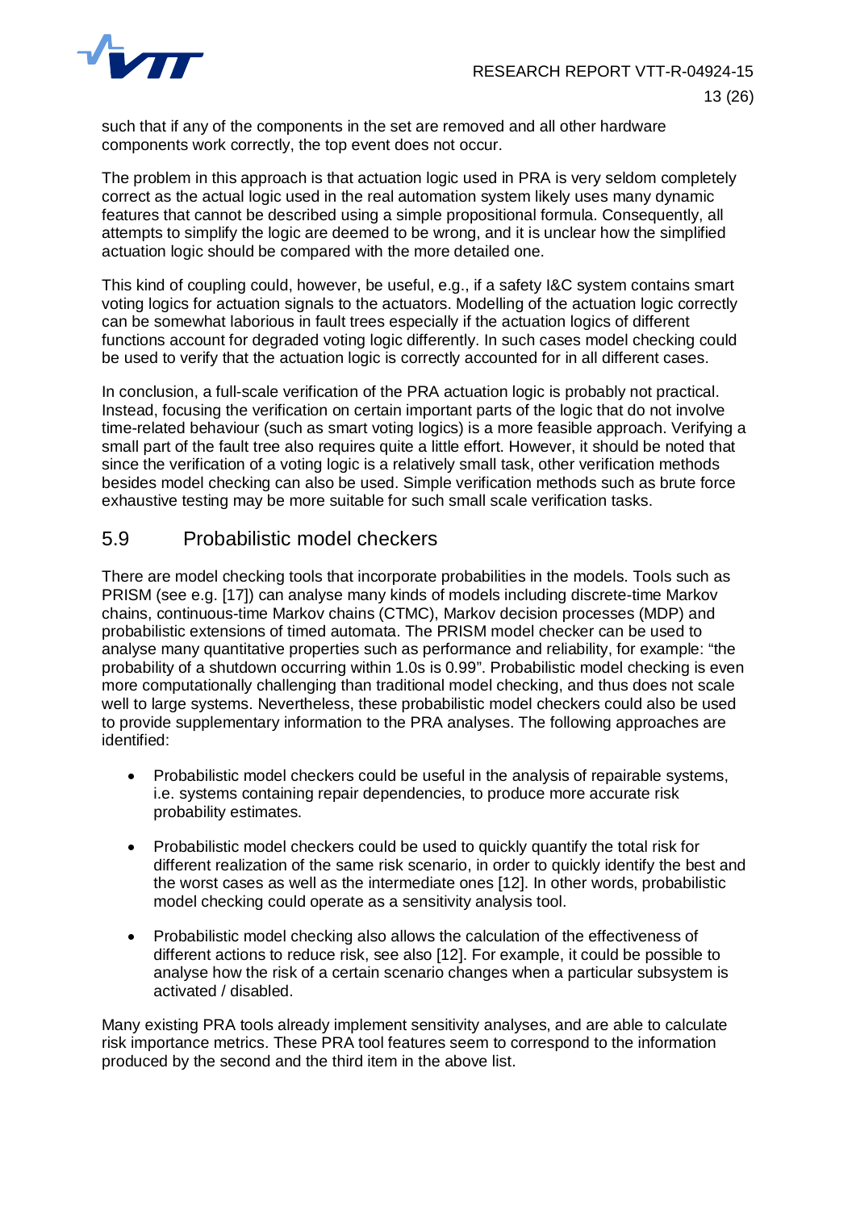

such that if any of the components in the set are removed and all other hardware components work correctly, the top event does not occur.

The problem in this approach is that actuation logic used in PRA is very seldom completely correct as the actual logic used in the real automation system likely uses many dynamic features that cannot be described using a simple propositional formula. Consequently, all attempts to simplify the logic are deemed to be wrong, and it is unclear how the simplified actuation logic should be compared with the more detailed one.

This kind of coupling could, however, be useful, e.g., if a safety I&C system contains smart voting logics for actuation signals to the actuators. Modelling of the actuation logic correctly can be somewhat laborious in fault trees especially if the actuation logics of different functions account for degraded voting logic differently. In such cases model checking could be used to verify that the actuation logic is correctly accounted for in all different cases.

In conclusion, a full-scale verification of the PRA actuation logic is probably not practical. Instead, focusing the verification on certain important parts of the logic that do not involve time-related behaviour (such as smart voting logics) is a more feasible approach. Verifying a small part of the fault tree also requires quite a little effort. However, it should be noted that since the verification of a voting logic is a relatively small task, other verification methods besides model checking can also be used. Simple verification methods such as brute force exhaustive testing may be more suitable for such small scale verification tasks.

# <span id="page-13-0"></span>5.9 Probabilistic model checkers

There are model checking tools that incorporate probabilities in the models. Tools such as PRISM (see e.g. [17]) can analyse many kinds of models including discrete-time Markov chains, continuous-time Markov chains (CTMC), Markov decision processes (MDP) and probabilistic extensions of timed automata. The PRISM model checker can be used to analyse many quantitative properties such as performance and reliability, for example: "the probability of a shutdown occurring within 1.0s is 0.99". Probabilistic model checking is even more computationally challenging than traditional model checking, and thus does not scale well to large systems. Nevertheless, these probabilistic model checkers could also be used to provide supplementary information to the PRA analyses. The following approaches are identified:

- Probabilistic model checkers could be useful in the analysis of repairable systems, i.e. systems containing repair dependencies, to produce more accurate risk probability estimates.
- Probabilistic model checkers could be used to quickly quantify the total risk for different realization of the same risk scenario, in order to quickly identify the best and the worst cases as well as the intermediate ones [12]. In other words, probabilistic model checking could operate as a sensitivity analysis tool.
- Probabilistic model checking also allows the calculation of the effectiveness of different actions to reduce risk, see also [12]. For example, it could be possible to analyse how the risk of a certain scenario changes when a particular subsystem is activated / disabled.

Many existing PRA tools already implement sensitivity analyses, and are able to calculate risk importance metrics. These PRA tool features seem to correspond to the information produced by the second and the third item in the above list.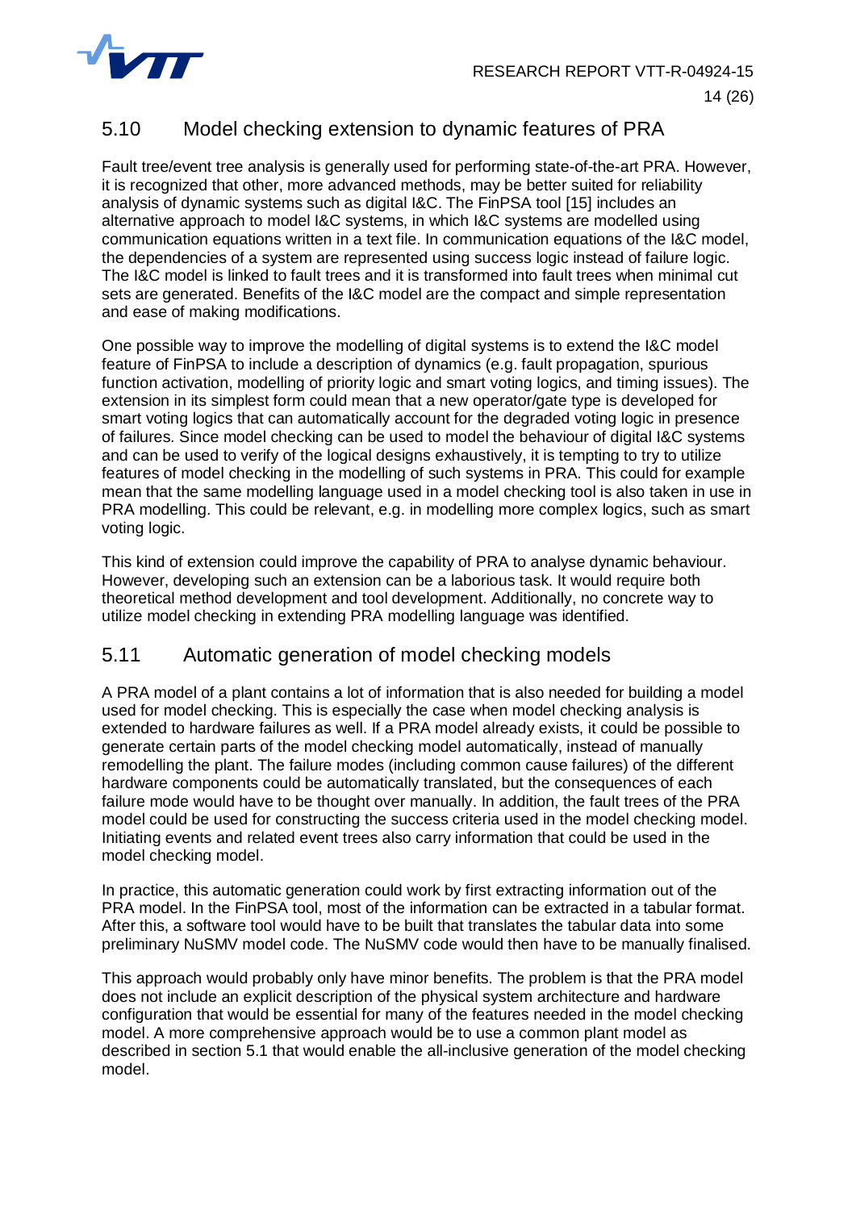

# <span id="page-14-0"></span>5.10 Model checking extension to dynamic features of PRA

Fault tree/event tree analysis is generally used for performing state-of-the-art PRA. However, it is recognized that other, more advanced methods, may be better suited for reliability analysis of dynamic systems such as digital I&C. The FinPSA tool [15] includes an alternative approach to model I&C systems, in which I&C systems are modelled using communication equations written in a text file. In communication equations of the I&C model, the dependencies of a system are represented using success logic instead of failure logic. The I&C model is linked to fault trees and it is transformed into fault trees when minimal cut sets are generated. Benefits of the I&C model are the compact and simple representation and ease of making modifications.

One possible way to improve the modelling of digital systems is to extend the I&C model feature of FinPSA to include a description of dynamics (e.g. fault propagation, spurious function activation, modelling of priority logic and smart voting logics, and timing issues). The extension in its simplest form could mean that a new operator/gate type is developed for smart voting logics that can automatically account for the degraded voting logic in presence of failures. Since model checking can be used to model the behaviour of digital I&C systems and can be used to verify of the logical designs exhaustively, it is tempting to try to utilize features of model checking in the modelling of such systems in PRA. This could for example mean that the same modelling language used in a model checking tool is also taken in use in PRA modelling. This could be relevant, e.g. in modelling more complex logics, such as smart voting logic.

This kind of extension could improve the capability of PRA to analyse dynamic behaviour. However, developing such an extension can be a laborious task. It would require both theoretical method development and tool development. Additionally, no concrete way to utilize model checking in extending PRA modelling language was identified.

## <span id="page-14-1"></span>5.11 Automatic generation of model checking models

A PRA model of a plant contains a lot of information that is also needed for building a model used for model checking. This is especially the case when model checking analysis is extended to hardware failures as well. If a PRA model already exists, it could be possible to generate certain parts of the model checking model automatically, instead of manually remodelling the plant. The failure modes (including common cause failures) of the different hardware components could be automatically translated, but the consequences of each failure mode would have to be thought over manually. In addition, the fault trees of the PRA model could be used for constructing the success criteria used in the model checking model. Initiating events and related event trees also carry information that could be used in the model checking model.

In practice, this automatic generation could work by first extracting information out of the PRA model. In the FinPSA tool, most of the information can be extracted in a tabular format. After this, a software tool would have to be built that translates the tabular data into some preliminary NuSMV model code. The NuSMV code would then have to be manually finalised.

This approach would probably only have minor benefits. The problem is that the PRA model does not include an explicit description of the physical system architecture and hardware configuration that would be essential for many of the features needed in the model checking model. A more comprehensive approach would be to use a common plant model as described in section [5.1](#page-8-0) that would enable the all-inclusive generation of the model checking model.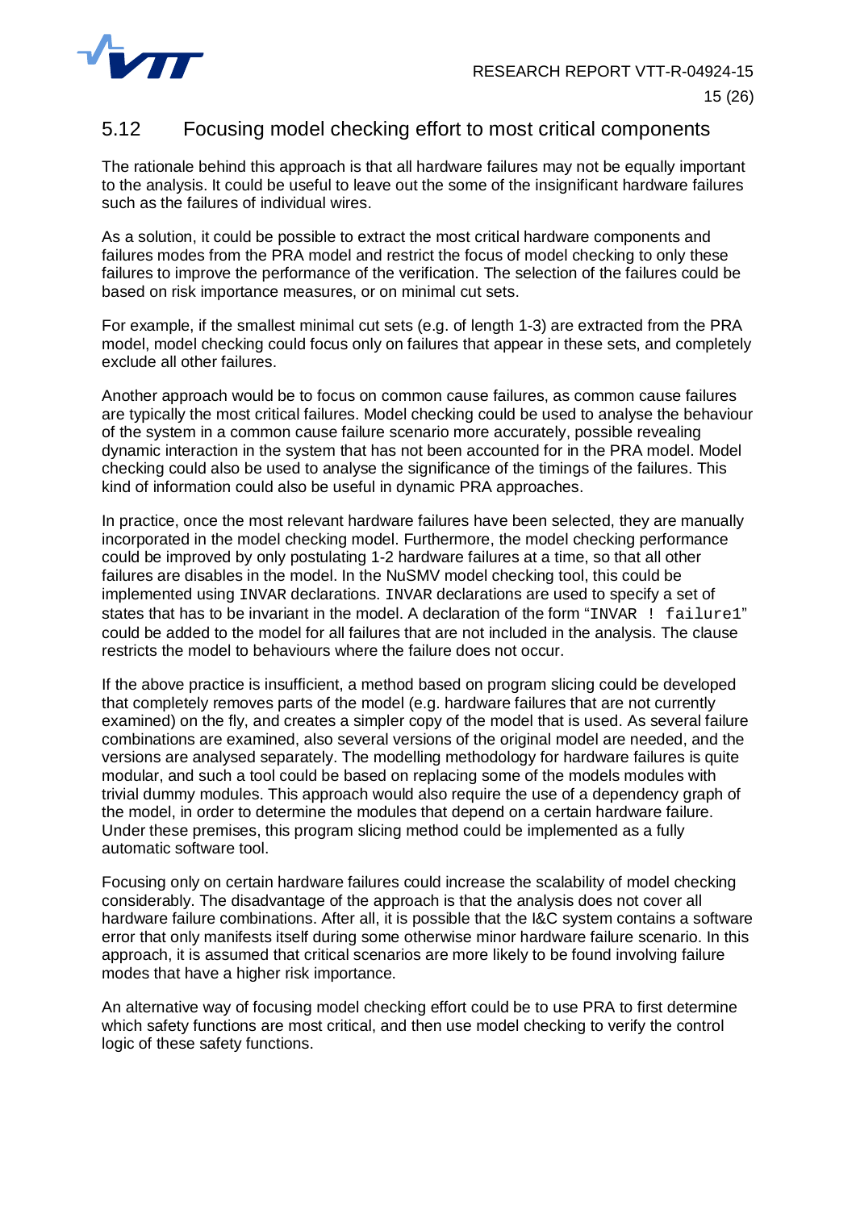

## <span id="page-15-0"></span>5.12 Focusing model checking effort to most critical components

The rationale behind this approach is that all hardware failures may not be equally important to the analysis. It could be useful to leave out the some of the insignificant hardware failures such as the failures of individual wires.

As a solution, it could be possible to extract the most critical hardware components and failures modes from the PRA model and restrict the focus of model checking to only these failures to improve the performance of the verification. The selection of the failures could be based on risk importance measures, or on minimal cut sets.

For example, if the smallest minimal cut sets (e.g. of length 1-3) are extracted from the PRA model, model checking could focus only on failures that appear in these sets, and completely exclude all other failures.

Another approach would be to focus on common cause failures, as common cause failures are typically the most critical failures. Model checking could be used to analyse the behaviour of the system in a common cause failure scenario more accurately, possible revealing dynamic interaction in the system that has not been accounted for in the PRA model. Model checking could also be used to analyse the significance of the timings of the failures. This kind of information could also be useful in dynamic PRA approaches.

In practice, once the most relevant hardware failures have been selected, they are manually incorporated in the model checking model. Furthermore, the model checking performance could be improved by only postulating 1-2 hardware failures at a time, so that all other failures are disables in the model. In the NuSMV model checking tool, this could be implemented using INVAR declarations. INVAR declarations are used to specify a set of states that has to be invariant in the model. A declaration of the form "INVAR  $\pm$  failure1" could be added to the model for all failures that are not included in the analysis. The clause restricts the model to behaviours where the failure does not occur.

If the above practice is insufficient, a method based on program slicing could be developed that completely removes parts of the model (e.g. hardware failures that are not currently examined) on the fly, and creates a simpler copy of the model that is used. As several failure combinations are examined, also several versions of the original model are needed, and the versions are analysed separately. The modelling methodology for hardware failures is quite modular, and such a tool could be based on replacing some of the models modules with trivial dummy modules. This approach would also require the use of a dependency graph of the model, in order to determine the modules that depend on a certain hardware failure. Under these premises, this program slicing method could be implemented as a fully automatic software tool.

Focusing only on certain hardware failures could increase the scalability of model checking considerably. The disadvantage of the approach is that the analysis does not cover all hardware failure combinations. After all, it is possible that the I&C system contains a software error that only manifests itself during some otherwise minor hardware failure scenario. In this approach, it is assumed that critical scenarios are more likely to be found involving failure modes that have a higher risk importance.

An alternative way of focusing model checking effort could be to use PRA to first determine which safety functions are most critical, and then use model checking to verify the control logic of these safety functions.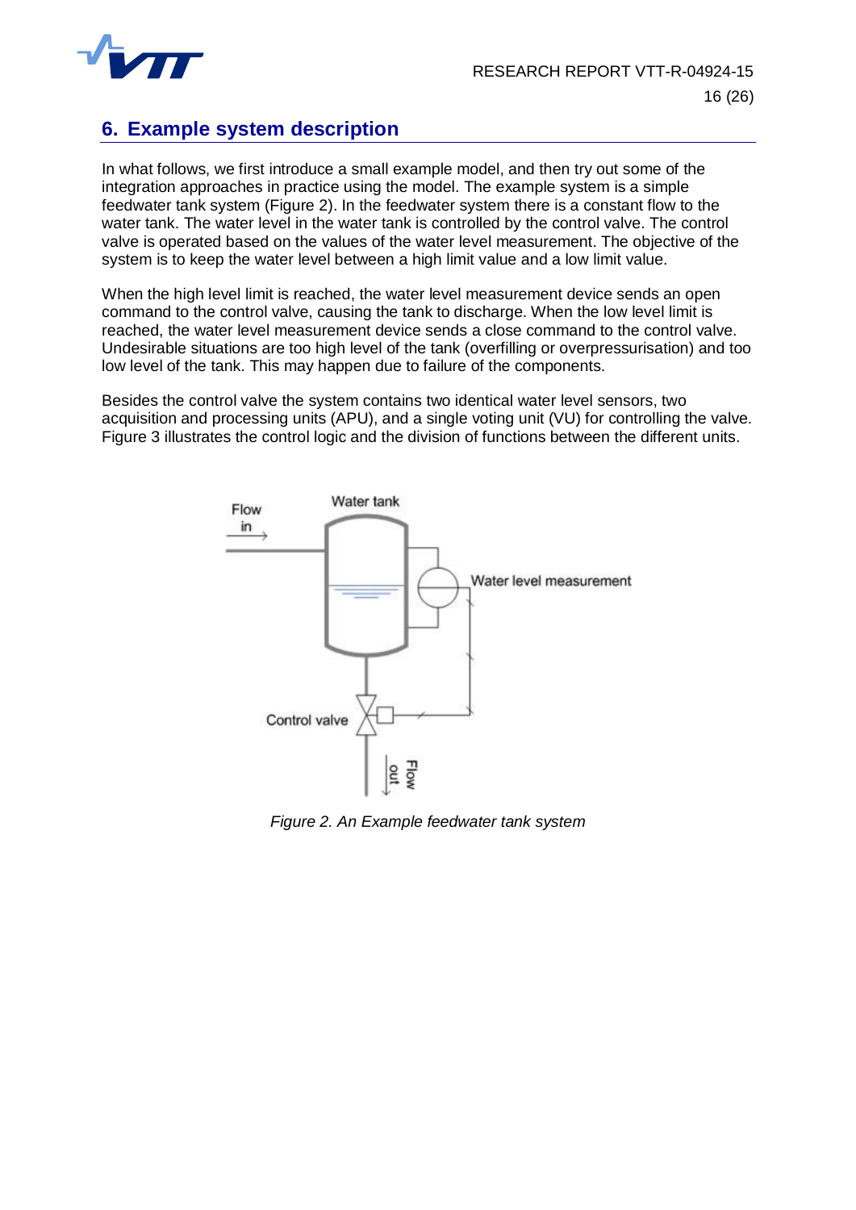

# <span id="page-16-0"></span>**6. Example system description**

In what follows, we first introduce a small example model, and then try out some of the integration approaches in practice using the model. The example system is a simple feedwater tank system [\(Figure 2](#page-16-1)). In the feedwater system there is a constant flow to the water tank. The water level in the water tank is controlled by the control valve. The control valve is operated based on the values of the water level measurement. The objective of the system is to keep the water level between a high limit value and a low limit value.

When the high level limit is reached, the water level measurement device sends an open command to the control valve, causing the tank to discharge. When the low level limit is reached, the water level measurement device sends a close command to the control valve. Undesirable situations are too high level of the tank (overfilling or overpressurisation) and too low level of the tank. This may happen due to failure of the components.

Besides the control valve the system contains two identical water level sensors, two acquisition and processing units (APU), and a single voting unit (VU) for controlling the valve. [Figure 3](#page-17-2) illustrates the control logic and the division of functions between the different units.



<span id="page-16-1"></span>*Figure 2. An Example feedwater tank system*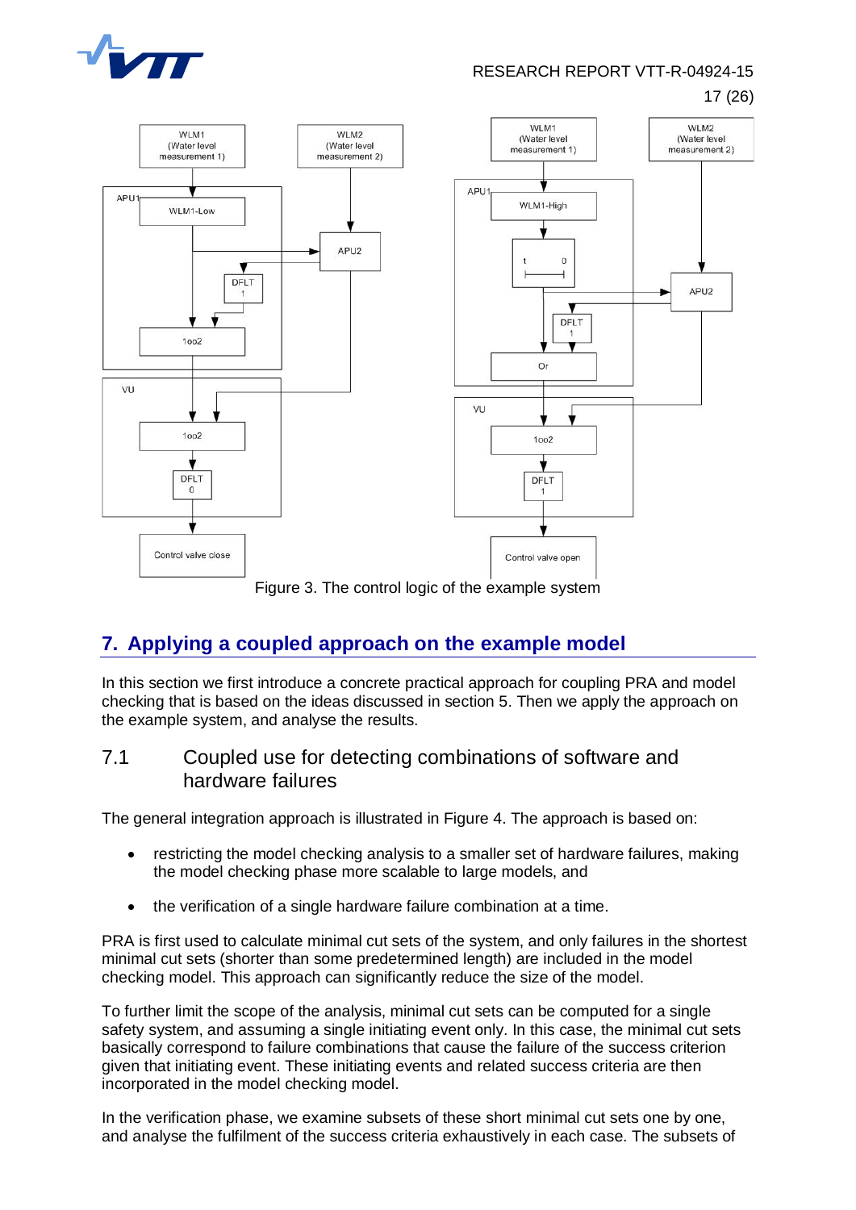

RESEARCH REPORT VTT-R-04924-15 17 (26)



<span id="page-17-2"></span>Figure 3. The control logic of the example system

# <span id="page-17-0"></span>**7. Applying a coupled approach on the example model**

In this section we first introduce a concrete practical approach for coupling PRA and model checking that is based on the ideas discussed in section 5. Then we apply the approach on the example system, and analyse the results.

#### <span id="page-17-1"></span>7.1 Coupled use for detecting combinations of software and hardware failures

The general integration approach is illustrated in [Figure 4](#page-19-1). The approach is based on:

- restricting the model checking analysis to a smaller set of hardware failures, making the model checking phase more scalable to large models, and
- the verification of a single hardware failure combination at a time.

PRA is first used to calculate minimal cut sets of the system, and only failures in the shortest minimal cut sets (shorter than some predetermined length) are included in the model checking model. This approach can significantly reduce the size of the model.

To further limit the scope of the analysis, minimal cut sets can be computed for a single safety system, and assuming a single initiating event only. In this case, the minimal cut sets basically correspond to failure combinations that cause the failure of the success criterion given that initiating event. These initiating events and related success criteria are then incorporated in the model checking model.

In the verification phase, we examine subsets of these short minimal cut sets one by one, and analyse the fulfilment of the success criteria exhaustively in each case. The subsets of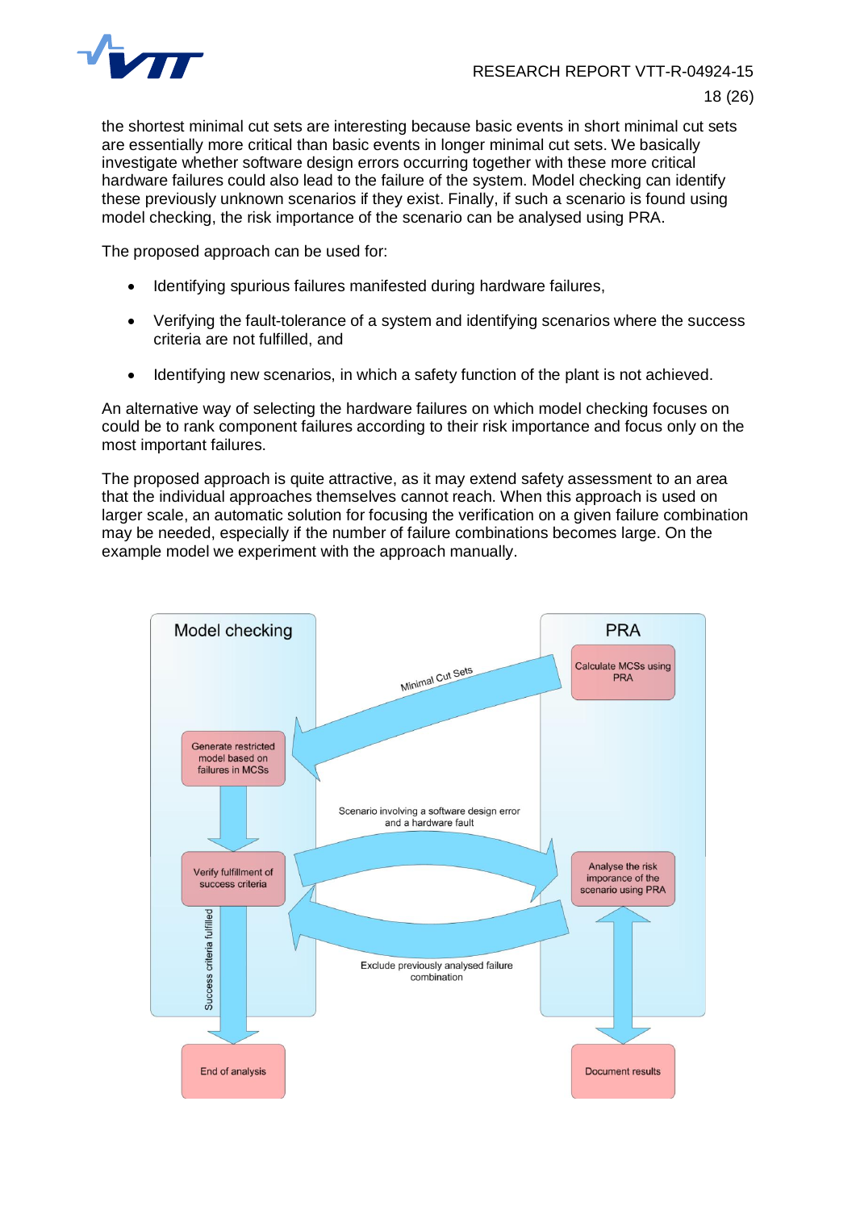

the shortest minimal cut sets are interesting because basic events in short minimal cut sets are essentially more critical than basic events in longer minimal cut sets. We basically investigate whether software design errors occurring together with these more critical hardware failures could also lead to the failure of the system. Model checking can identify these previously unknown scenarios if they exist. Finally, if such a scenario is found using model checking, the risk importance of the scenario can be analysed using PRA.

The proposed approach can be used for:

- Identifying spurious failures manifested during hardware failures,
- Verifying the fault-tolerance of a system and identifying scenarios where the success criteria are not fulfilled, and
- Identifying new scenarios, in which a safety function of the plant is not achieved.

An alternative way of selecting the hardware failures on which model checking focuses on could be to rank component failures according to their risk importance and focus only on the most important failures.

The proposed approach is quite attractive, as it may extend safety assessment to an area that the individual approaches themselves cannot reach. When this approach is used on larger scale, an automatic solution for focusing the verification on a given failure combination may be needed, especially if the number of failure combinations becomes large. On the example model we experiment with the approach manually.

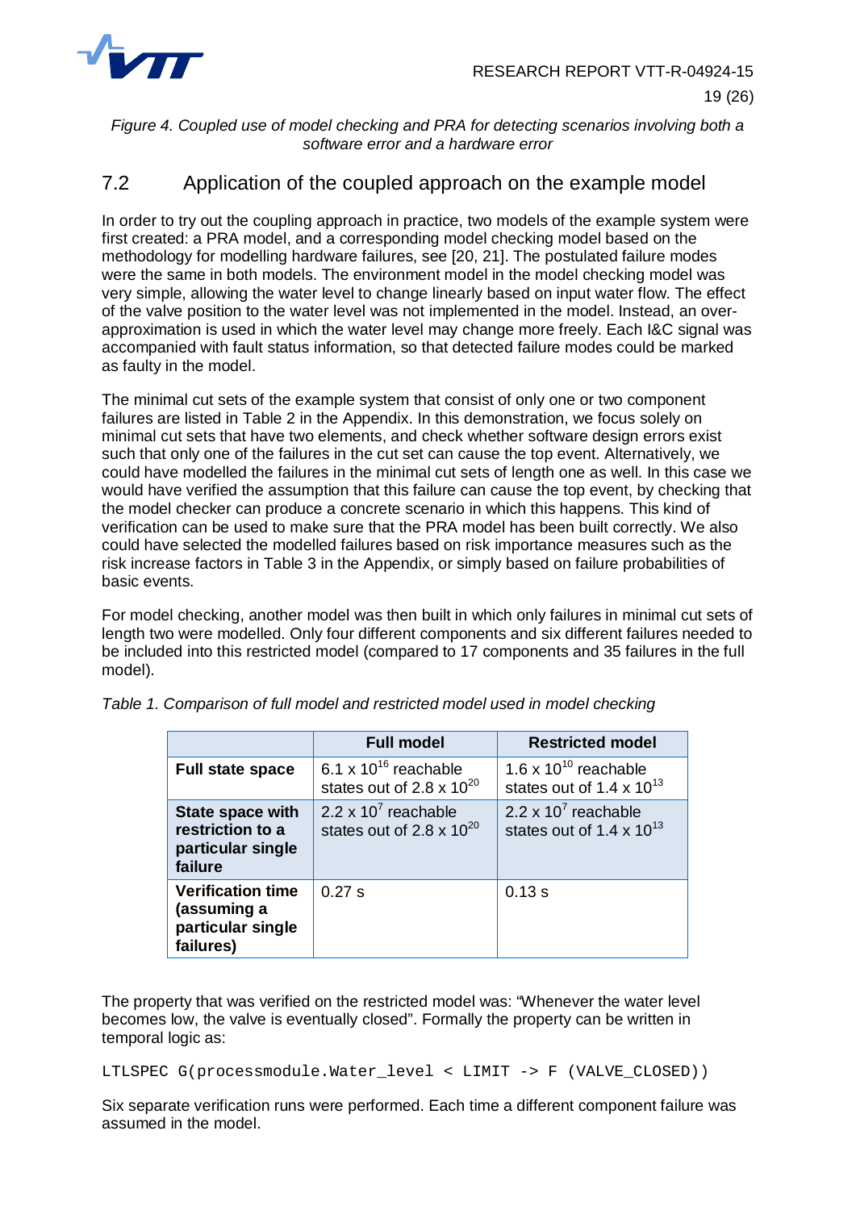

<span id="page-19-1"></span>*Figure 4. Coupled use of model checking and PRA for detecting scenarios involving both a software error and a hardware error*

## <span id="page-19-0"></span>7.2 Application of the coupled approach on the example model

In order to try out the coupling approach in practice, two models of the example system were first created: a PRA model, and a corresponding model checking model based on the methodology for modelling hardware failures, see [20, 21]. The postulated failure modes were the same in both models. The environment model in the model checking model was very simple, allowing the water level to change linearly based on input water flow. The effect of the valve position to the water level was not implemented in the model. Instead, an overapproximation is used in which the water level may change more freely. Each I&C signal was accompanied with fault status information, so that detected failure modes could be marked as faulty in the model.

The minimal cut sets of the example system that consist of only one or two component failures are listed in [Table 2](#page-24-1) in the Appendix. In this demonstration, we focus solely on minimal cut sets that have two elements, and check whether software design errors exist such that only one of the failures in the cut set can cause the top event. Alternatively, we could have modelled the failures in the minimal cut sets of length one as well. In this case we would have verified the assumption that this failure can cause the top event, by checking that the model checker can produce a concrete scenario in which this happens. This kind of verification can be used to make sure that the PRA model has been built correctly. We also could have selected the modelled failures based on risk importance measures such as the risk increase factors in [Table 3](#page-25-0) in the Appendix, or simply based on failure probabilities of basic events.

For model checking, another model was then built in which only failures in minimal cut sets of length two were modelled. Only four different components and six different failures needed to be included into this restricted model (compared to 17 components and 35 failures in the full model).

|                                                                             | <b>Full model</b>                                          | <b>Restricted model</b>                                                  |  |  |
|-----------------------------------------------------------------------------|------------------------------------------------------------|--------------------------------------------------------------------------|--|--|
| <b>Full state space</b>                                                     | 6.1 x $10^{16}$ reachable<br>states out of 2.8 x $10^{20}$ | 1.6 x $10^{10}$ reachable<br>states out of 1.4 $\times$ 10 <sup>13</sup> |  |  |
| <b>State space with</b><br>restriction to a<br>particular single<br>failure | 2.2 x $10^7$ reachable<br>states out of 2.8 x $10^{20}$    | 2.2 x $10^7$ reachable<br>states out of 1.4 x $10^{13}$                  |  |  |
| <b>Verification time</b><br>(assuming a<br>particular single<br>failures)   | 0.27 s                                                     | 0.13 s                                                                   |  |  |

<span id="page-19-2"></span>

|  |  |  | Table 1. Comparison of full model and restricted model used in model checking |  |  |  |
|--|--|--|-------------------------------------------------------------------------------|--|--|--|
|--|--|--|-------------------------------------------------------------------------------|--|--|--|

The property that was verified on the restricted model was: "Whenever the water level becomes low, the valve is eventually closed". Formally the property can be written in temporal logic as:

LTLSPEC G(processmodule.Water\_level < LIMIT -> F (VALVE\_CLOSED))

Six separate verification runs were performed. Each time a different component failure was assumed in the model.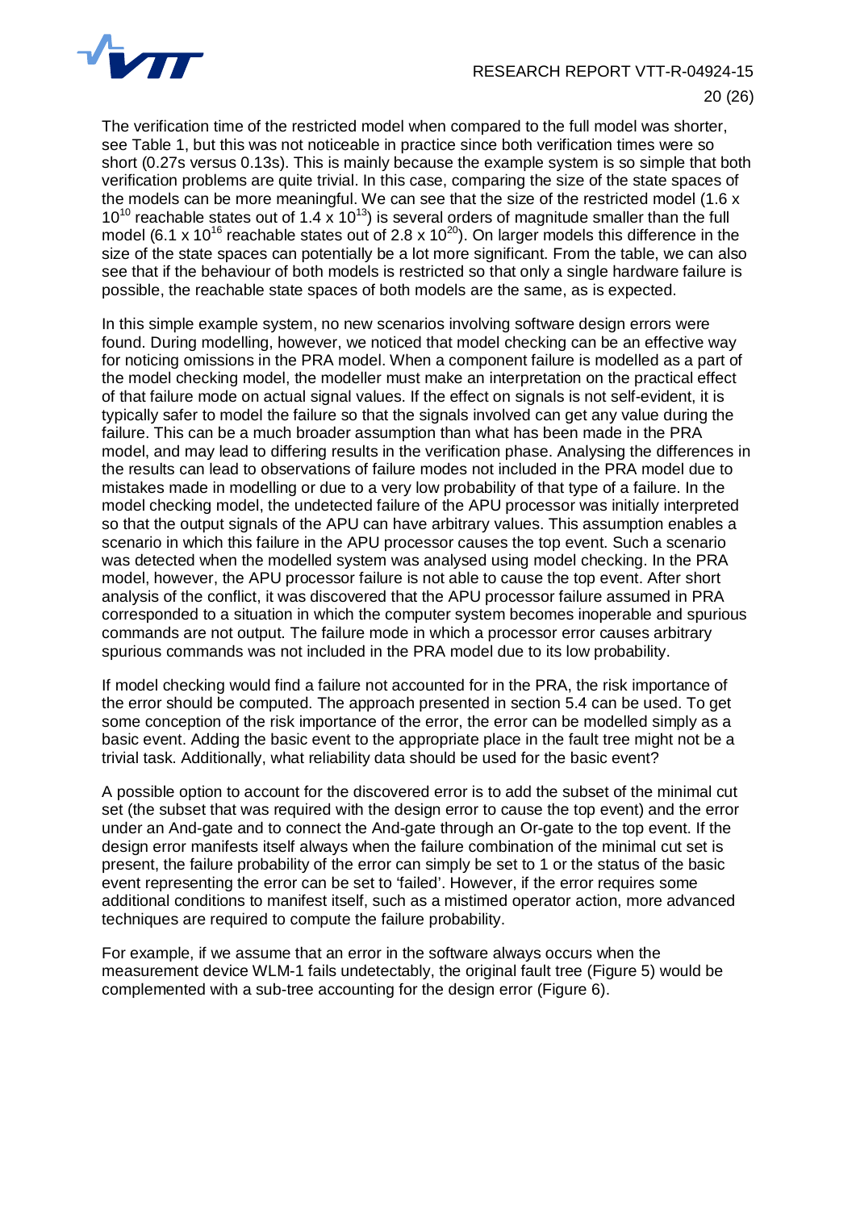

20 (26)

The verification time of the restricted model when compared to the full model was shorter, see [Table 1](#page-19-2), but this was not noticeable in practice since both verification times were so short (0.27s versus 0.13s). This is mainly because the example system is so simple that both verification problems are quite trivial. In this case, comparing the size of the state spaces of the models can be more meaningful. We can see that the size of the restricted model (1.6 x 10<sup>10</sup> reachable states out of 1.4 x 10<sup>13</sup>) is several orders of magnitude smaller than the full model (6.1 x 10<sup>16</sup> reachable states out of 2.8 x 10<sup>20</sup>). On larger models this difference in the size of the state spaces can potentially be a lot more significant. From the table, we can also see that if the behaviour of both models is restricted so that only a single hardware failure is possible, the reachable state spaces of both models are the same, as is expected.

In this simple example system, no new scenarios involving software design errors were found. During modelling, however, we noticed that model checking can be an effective way for noticing omissions in the PRA model. When a component failure is modelled as a part of the model checking model, the modeller must make an interpretation on the practical effect of that failure mode on actual signal values. If the effect on signals is not self-evident, it is typically safer to model the failure so that the signals involved can get any value during the failure. This can be a much broader assumption than what has been made in the PRA model, and may lead to differing results in the verification phase. Analysing the differences in the results can lead to observations of failure modes not included in the PRA model due to mistakes made in modelling or due to a very low probability of that type of a failure. In the model checking model, the undetected failure of the APU processor was initially interpreted so that the output signals of the APU can have arbitrary values. This assumption enables a scenario in which this failure in the APU processor causes the top event. Such a scenario was detected when the modelled system was analysed using model checking. In the PRA model, however, the APU processor failure is not able to cause the top event. After short analysis of the conflict, it was discovered that the APU processor failure assumed in PRA corresponded to a situation in which the computer system becomes inoperable and spurious commands are not output. The failure mode in which a processor error causes arbitrary spurious commands was not included in the PRA model due to its low probability.

If model checking would find a failure not accounted for in the PRA, the risk importance of the error should be computed. The approach presented in section 5.4 can be used. To get some conception of the risk importance of the error, the error can be modelled simply as a basic event. Adding the basic event to the appropriate place in the fault tree might not be a trivial task. Additionally, what reliability data should be used for the basic event?

A possible option to account for the discovered error is to add the subset of the minimal cut set (the subset that was required with the design error to cause the top event) and the error under an And-gate and to connect the And-gate through an Or-gate to the top event. If the design error manifests itself always when the failure combination of the minimal cut set is present, the failure probability of the error can simply be set to 1 or the status of the basic event representing the error can be set to 'failed'. However, if the error requires some additional conditions to manifest itself, such as a mistimed operator action, more advanced techniques are required to compute the failure probability.

For example, if we assume that an error in the software always occurs when the measurement device WLM-1 fails undetectably, the original fault tree (Figure 5) would be complemented with a sub-tree accounting for the design error (Figure 6).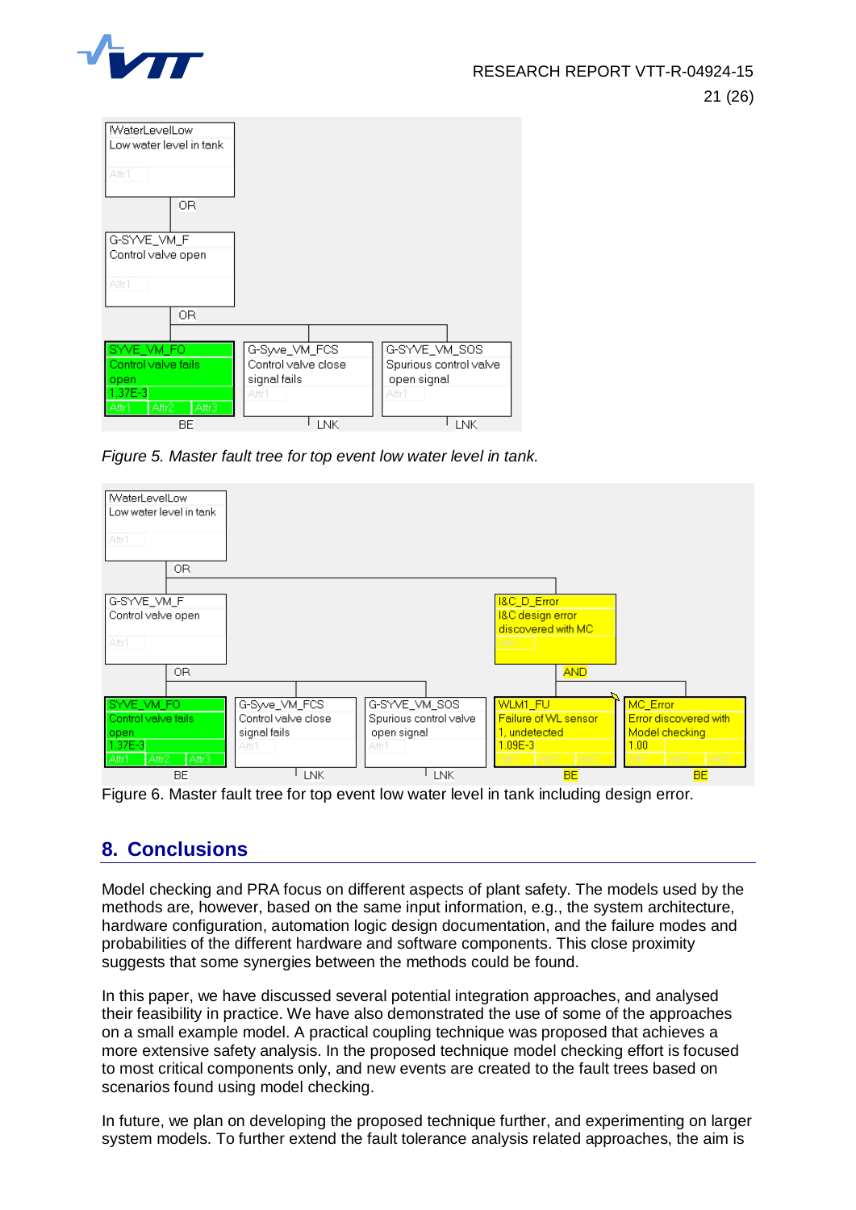



*Figure 5. Master fault tree for top event low water level in tank.*



Figure 6. Master fault tree for top event low water level in tank including design error.

# <span id="page-21-0"></span>**8. Conclusions**

Model checking and PRA focus on different aspects of plant safety. The models used by the methods are, however, based on the same input information, e.g., the system architecture, hardware configuration, automation logic design documentation, and the failure modes and probabilities of the different hardware and software components. This close proximity suggests that some synergies between the methods could be found.

In this paper, we have discussed several potential integration approaches, and analysed their feasibility in practice. We have also demonstrated the use of some of the approaches on a small example model. A practical coupling technique was proposed that achieves a more extensive safety analysis. In the proposed technique model checking effort is focused to most critical components only, and new events are created to the fault trees based on scenarios found using model checking.

In future, we plan on developing the proposed technique further, and experimenting on larger system models. To further extend the fault tolerance analysis related approaches, the aim is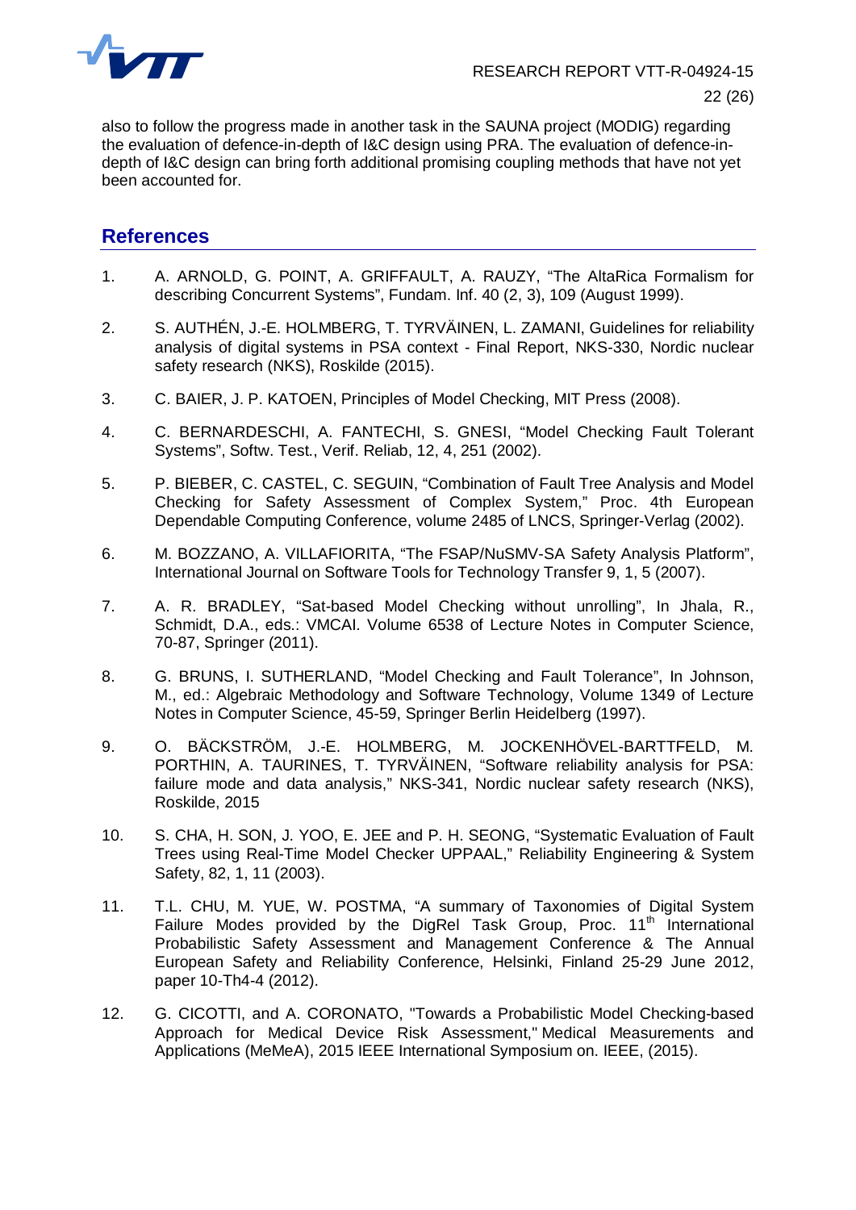

also to follow the progress made in another task in the SAUNA project (MODIG) regarding the evaluation of defence-in-depth of I&C design using PRA. The evaluation of defence-indepth of I&C design can bring forth additional promising coupling methods that have not yet been accounted for.

#### <span id="page-22-0"></span>**References**

- 1. A. ARNOLD, G. POINT, A. GRIFFAULT, A. RAUZY, "The AltaRica Formalism for describing Concurrent Systems", Fundam. Inf. 40 (2, 3), 109 (August 1999).
- 2. S. AUTHÉN, J.-E. HOLMBERG, T. TYRVÄINEN, L. ZAMANI, Guidelines for reliability analysis of digital systems in PSA context - Final Report, NKS-330, Nordic nuclear safety research (NKS), Roskilde (2015).
- 3. C. BAIER, J. P. KATOEN, Principles of Model Checking, MIT Press (2008).
- 4. C. BERNARDESCHI, A. FANTECHI, S. GNESI, "Model Checking Fault Tolerant Systems", Softw. Test., Verif. Reliab, 12, 4, 251 (2002).
- 5. P. BIEBER, C. CASTEL, C. SEGUIN, "Combination of Fault Tree Analysis and Model Checking for Safety Assessment of Complex System," Proc. 4th European Dependable Computing Conference, volume 2485 of LNCS, Springer-Verlag (2002).
- 6. M. BOZZANO, A. VILLAFIORITA, "The FSAP/NuSMV-SA Safety Analysis Platform", International Journal on Software Tools for Technology Transfer 9, 1, 5 (2007).
- 7. A. R. BRADLEY, "Sat-based Model Checking without unrolling", In Jhala, R., Schmidt, D.A., eds.: VMCAI. Volume 6538 of Lecture Notes in Computer Science, 70-87, Springer (2011).
- 8. G. BRUNS, I. SUTHERLAND, "Model Checking and Fault Tolerance", In Johnson, M., ed.: Algebraic Methodology and Software Technology, Volume 1349 of Lecture Notes in Computer Science, 45-59, Springer Berlin Heidelberg (1997).
- 9. O. BÄCKSTRÖM, J.-E. HOLMBERG, M. JOCKENHÖVEL-BARTTFELD, M. PORTHIN, A. TAURINES, T. TYRVÄINEN, "Software reliability analysis for PSA: failure mode and data analysis," NKS-341, Nordic nuclear safety research (NKS), Roskilde, 2015
- 10. S. CHA, H. SON, J. YOO, E. JEE and P. H. SEONG, "Systematic Evaluation of Fault Trees using Real-Time Model Checker UPPAAL," Reliability Engineering & System Safety, 82, 1, 11 (2003).
- 11. T.L. CHU, M. YUE, W. POSTMA, "A summary of Taxonomies of Digital System Failure Modes provided by the DigRel Task Group, Proc.  $11<sup>th</sup>$  International Probabilistic Safety Assessment and Management Conference & The Annual European Safety and Reliability Conference, Helsinki, Finland 25-29 June 2012, paper 10-Th4-4 (2012).
- 12. G. CICOTTI, and A. CORONATO, "Towards a Probabilistic Model Checking-based Approach for Medical Device Risk Assessment," Medical Measurements and Applications (MeMeA), 2015 IEEE International Symposium on. IEEE, (2015).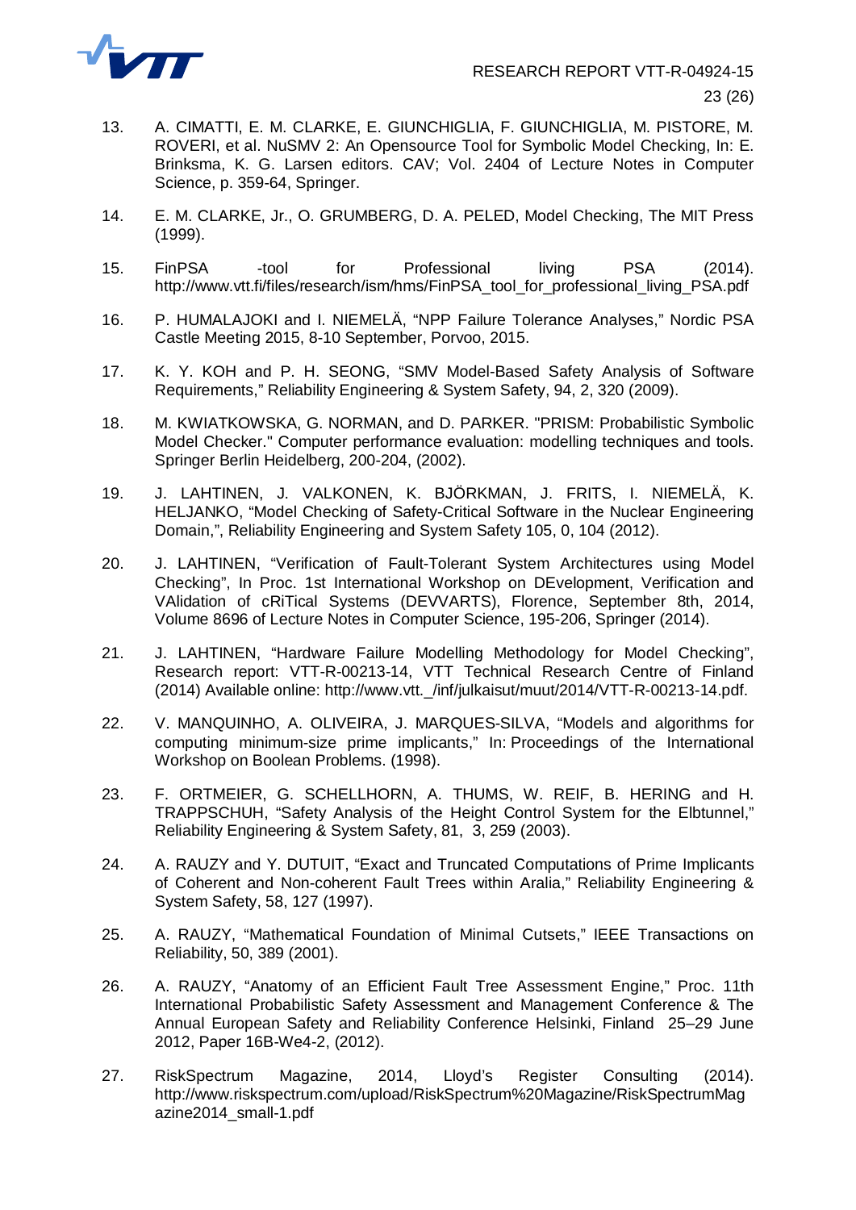

- 13. A. CIMATTI, E. M. CLARKE, E. GIUNCHIGLIA, F. GIUNCHIGLIA, M. PISTORE, M. ROVERI, et al. NuSMV 2: An Opensource Tool for Symbolic Model Checking, In: E. Brinksma, K. G. Larsen editors. CAV; Vol. 2404 of Lecture Notes in Computer Science, p. 359-64, Springer.
- 14. E. M. CLARKE, Jr., O. GRUMBERG, D. A. PELED, Model Checking, The MIT Press (1999).
- 15. FinPSA -tool for Professional living PSA (2014). http://www.vtt.fi/files/research/ism/hms/FinPSA\_tool\_for\_professional\_living\_PSA.pdf
- 16. P. HUMALAJOKI and I. NIEMELÄ, "NPP Failure Tolerance Analyses," Nordic PSA Castle Meeting 2015, 8-10 September, Porvoo, 2015.
- 17. K. Y. KOH and P. H. SEONG, "SMV Model-Based Safety Analysis of Software Requirements," Reliability Engineering & System Safety, 94, 2, 320 (2009).
- 18. M. KWIATKOWSKA, G. NORMAN, and D. PARKER. "PRISM: Probabilistic Symbolic Model Checker." Computer performance evaluation: modelling techniques and tools. Springer Berlin Heidelberg, 200-204, (2002).
- 19. J. LAHTINEN, J. VALKONEN, K. BJÖRKMAN, J. FRITS, I. NIEMELÄ, K. HELJANKO, "Model Checking of Safety-Critical Software in the Nuclear Engineering Domain,", Reliability Engineering and System Safety 105, 0, 104 (2012).
- 20. J. LAHTINEN, "Verification of Fault-Tolerant System Architectures using Model Checking", In Proc. 1st International Workshop on DEvelopment, Verification and VAlidation of cRiTical Systems (DEVVARTS), Florence, September 8th, 2014, Volume 8696 of Lecture Notes in Computer Science, 195-206, Springer (2014).
- 21. J. LAHTINEN, "Hardware Failure Modelling Methodology for Model Checking", Research report: VTT-R-00213-14, VTT Technical Research Centre of Finland (2014) Available online: http://www.vtt.\_/inf/julkaisut/muut/2014/VTT-R-00213-14.pdf.
- 22. V. MANQUINHO, A. OLIVEIRA, J. MARQUES-SILVA, "Models and algorithms for computing minimum-size prime implicants," In: Proceedings of the International Workshop on Boolean Problems. (1998).
- 23. F. ORTMEIER, G. SCHELLHORN, A. THUMS, W. REIF, B. HERING and H. TRAPPSCHUH, "Safety Analysis of the Height Control System for the Elbtunnel," Reliability Engineering & System Safety, 81, 3, 259 (2003).
- 24. A. RAUZY and Y. DUTUIT, "Exact and Truncated Computations of Prime Implicants of Coherent and Non-coherent Fault Trees within Aralia," Reliability Engineering & System Safety, 58, 127 (1997).
- 25. A. RAUZY, "Mathematical Foundation of Minimal Cutsets," IEEE Transactions on Reliability, 50, 389 (2001).
- 26. A. RAUZY, "Anatomy of an Efficient Fault Tree Assessment Engine," Proc. 11th International Probabilistic Safety Assessment and Management Conference & The Annual European Safety and Reliability Conference Helsinki, Finland 25–29 June 2012, Paper 16B-We4-2, (2012).
- 27. RiskSpectrum Magazine, 2014, Lloyd's Register Consulting (2014). http://www.riskspectrum.com/upload/RiskSpectrum%20Magazine/RiskSpectrumMag azine2014\_small-1.pdf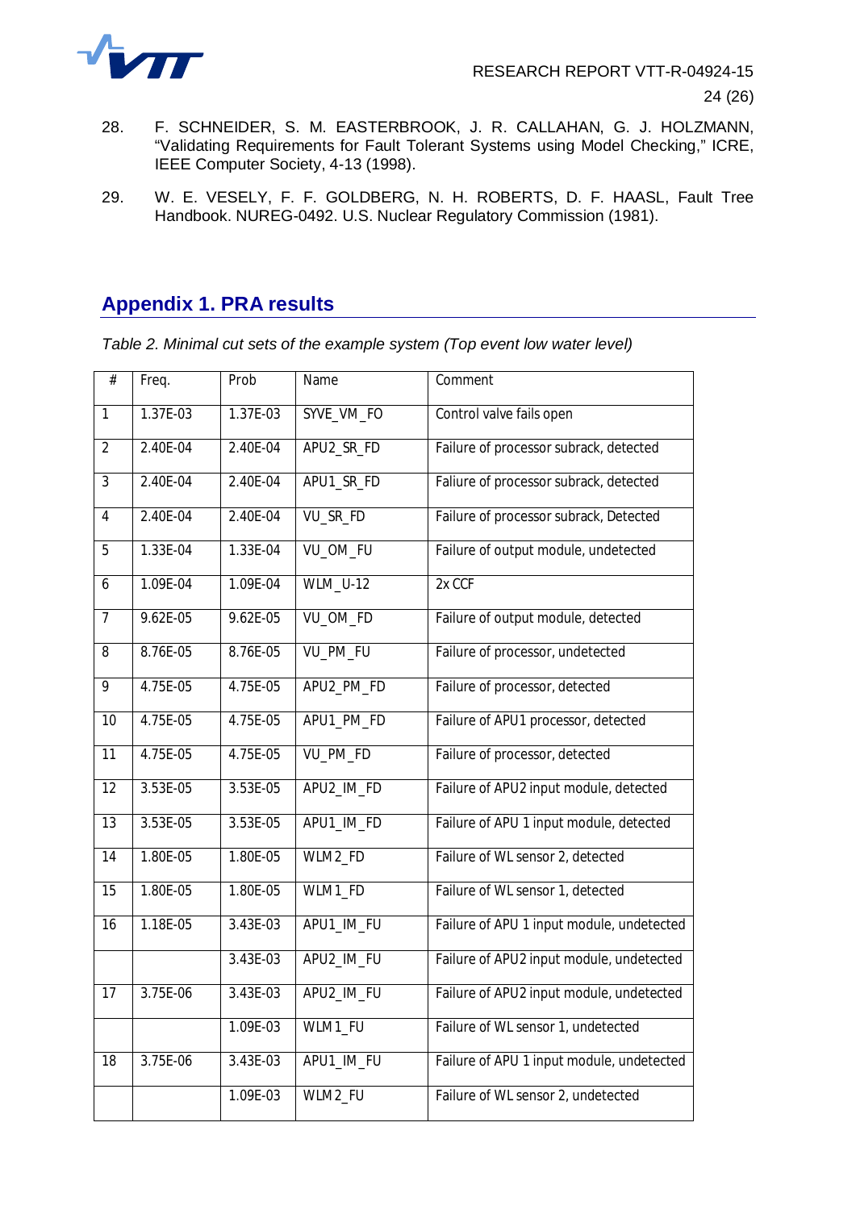

- 28. F. SCHNEIDER, S. M. EASTERBROOK, J. R. CALLAHAN, G. J. HOLZMANN, "Validating Requirements for Fault Tolerant Systems using Model Checking," ICRE, IEEE Computer Society, 4-13 (1998).
- 29. W. E. VESELY, F. F. GOLDBERG, N. H. ROBERTS, D. F. HAASL, Fault Tree Handbook. NUREG-0492. U.S. Nuclear Regulatory Commission (1981).

# <span id="page-24-0"></span>**Appendix 1. PRA results**

<span id="page-24-1"></span>*Table 2. Minimal cut sets of the example system (Top event low water level)*

| $\#$            | Freq.        | Prob       | Name            | Comment                                   |
|-----------------|--------------|------------|-----------------|-------------------------------------------|
| $\overline{1}$  | $1.37E-03$   | $1.37E-03$ | SYVE_VM_FO      | Control valve fails open                  |
| $\overline{2}$  | 2.40E-04     | 2.40E-04   | APU2_SR_FD      | Failure of processor subrack, detected    |
| $\overline{3}$  | 2.40E-04     | 2.40E-04   | APU1_SR_FD      | Faliure of processor subrack, detected    |
| $\overline{4}$  | 2.40E-04     | 2.40E-04   | VU SR FD        | Failure of processor subrack, Detected    |
| 5               | 1.33E-04     | 1.33E-04   | VU_OM_FU        | Failure of output module, undetected      |
| 6               | 1.09E-04     | 1.09E-04   | <b>WLM_U-12</b> | 2x CCF                                    |
| $\overline{7}$  | 9.62E-05     | 9.62E-05   | VU_OM_FD        | Failure of output module, detected        |
| $\overline{8}$  | 8.76E-05     | 8.76E-05   | VU_PM_FU        | Failure of processor, undetected          |
| $\overline{9}$  | 4.75E-05     | 4.75E-05   | APU2 PM FD      | Failure of processor, detected            |
| $\overline{10}$ | 4.75E-05     | 4.75E-05   | APU1_PM_FD      | Failure of APU1 processor, detected       |
| 11              | 4.75E-05     | 4.75E-05   | VU_PM_FD        | Failure of processor, detected            |
| $\overline{12}$ | $3.53E-05$   | $3.53E-05$ | APU2_IM_FD      | Failure of APU2 input module, detected    |
| $\overline{13}$ | 3.53E-05     | $3.53E-05$ | APU1_IM_FD      | Failure of APU 1 input module, detected   |
| 14              | 1.80E-05     | 1.80E-05   | WLM2_FD         | Failure of WL sensor 2, detected          |
| 15              | 1.80E-05     | 1.80E-05   | WLM1_FD         | Failure of WL sensor 1, detected          |
| $\overline{16}$ | $1.18E - 05$ | $3.43E-03$ | APU1_IM_FU      | Failure of APU 1 input module, undetected |
|                 |              | 3.43E-03   | APU2_IM_FU      | Failure of APU2 input module, undetected  |
| 17              | 3.75E-06     | 3.43E-03   | APU2_IM_FU      | Failure of APU2 input module, undetected  |
|                 |              | 1.09E-03   | WLM1_FU         | Failure of WL sensor 1, undetected        |
| 18              | 3.75E-06     | 3.43E-03   | APU1_IM_FU      | Failure of APU 1 input module, undetected |
|                 |              | 1.09E-03   | WLM2_FU         | Failure of WL sensor 2, undetected        |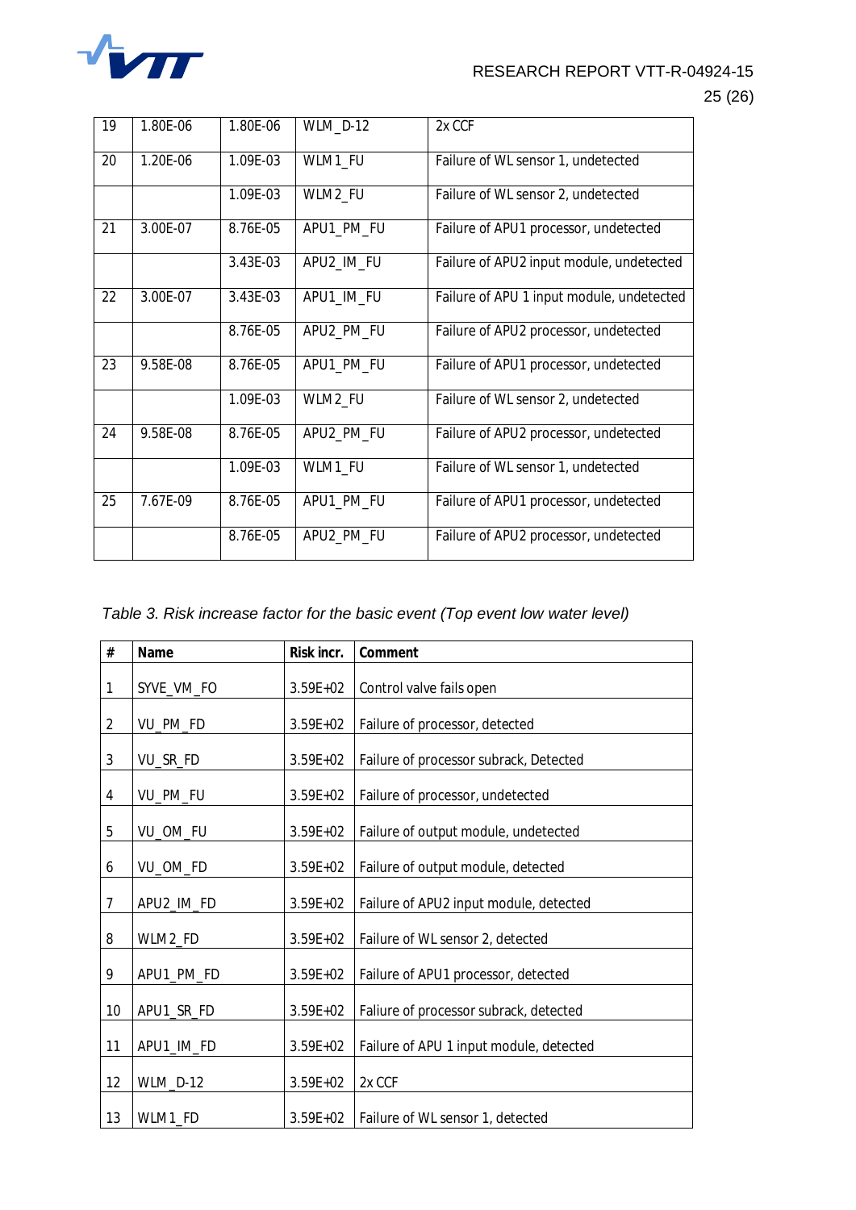

## RESEARCH REPORT VTT-R-04924-15

#### 25 (26)

| 19 | 1.80E-06 | 1.80E-06 | WLM_D-12   | 2x CCF                                    |
|----|----------|----------|------------|-------------------------------------------|
| 20 | 1.20E-06 | 1.09E-03 | WLM1_FU    | Failure of WL sensor 1, undetected        |
|    |          | 1.09E-03 | WLM2_FU    | Failure of WL sensor 2, undetected        |
| 21 | 3.00E-07 | 8.76E-05 | APU1_PM_FU | Failure of APU1 processor, undetected     |
|    |          | 3.43E-03 | APU2_IM_FU | Failure of APU2 input module, undetected  |
| 22 | 3.00E-07 | 3.43E-03 | APU1_IM_FU | Failure of APU 1 input module, undetected |
|    |          | 8.76E-05 | APU2_PM_FU | Failure of APU2 processor, undetected     |
| 23 | 9.58E-08 | 8.76E-05 | APU1_PM_FU | Failure of APU1 processor, undetected     |
|    |          | 1.09E-03 | WLM2_FU    | Failure of WL sensor 2, undetected        |
| 24 | 9.58E-08 | 8.76E-05 | APU2_PM_FU | Failure of APU2 processor, undetected     |
|    |          | 1.09E-03 | WLM1_FU    | Failure of WL sensor 1, undetected        |
| 25 | 7.67E-09 | 8.76E-05 | APU1_PM_FU | Failure of APU1 processor, undetected     |
|    |          | 8.76E-05 | APU2_PM_FU | Failure of APU2 processor, undetected     |

#### <span id="page-25-0"></span>*Table 3. Risk increase factor for the basic event (Top event low water level)*

| $\#$           | Name       | Risk incr.   | Comment                                 |
|----------------|------------|--------------|-----------------------------------------|
| 1              | SYVE_VM_FO | $3.59E + 02$ | Control valve fails open                |
| $\overline{2}$ | VU_PM_FD   | $3.59E + 02$ | Failure of processor, detected          |
| $\mathfrak{Z}$ | VU_SR_FD   | $3.59E + 02$ | Failure of processor subrack, Detected  |
| $\overline{4}$ | VU_PM_FU   | 3.59E+02     | Failure of processor, undetected        |
| 5              | VU_OM_FU   | $3.59E + 02$ | Failure of output module, undetected    |
| 6              | VU_OM_FD   | $3.59E + 02$ | Failure of output module, detected      |
| $\overline{7}$ | APU2_IM_FD | $3.59E + 02$ | Failure of APU2 input module, detected  |
| 8              | WLM2_FD    | $3.59E + 02$ | Failure of WL sensor 2, detected        |
| 9              | APU1_PM_FD | $3.59E + 02$ | Failure of APU1 processor, detected     |
| 10             | APU1_SR_FD | $3.59E + 02$ | Faliure of processor subrack, detected  |
| 11             | APU1_IM_FD | $3.59E + 02$ | Failure of APU 1 input module, detected |
| 12             | WLM_D-12   | $3.59E + 02$ | 2x CCF                                  |
| 13             | WLM1_FD    | $3.59E + 02$ | Failure of WL sensor 1, detected        |